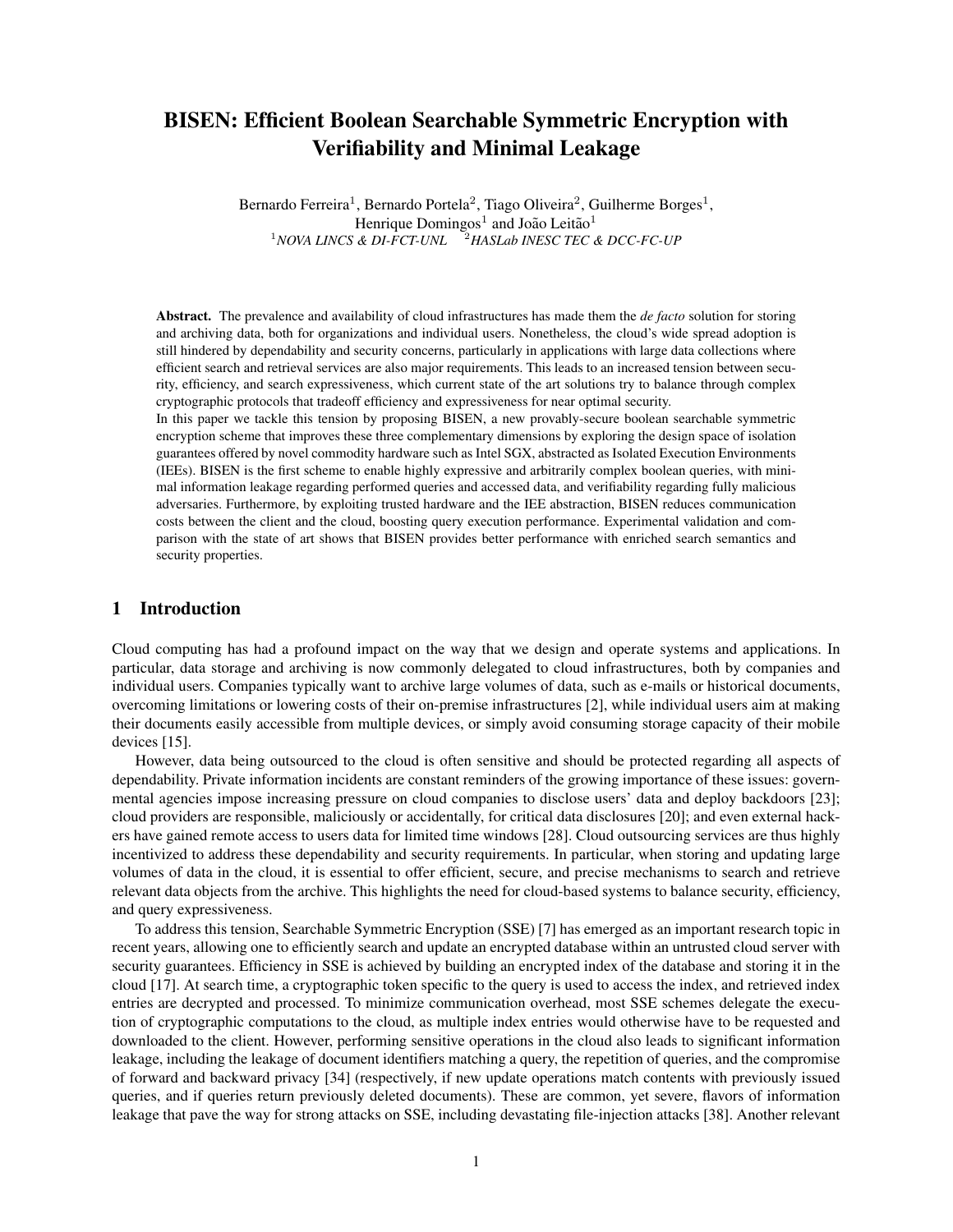# BISEN: Efficient Boolean Searchable Symmetric Encryption with Verifiability and Minimal Leakage

Bernardo Ferreira<sup>1</sup>, Bernardo Portela<sup>2</sup>, Tiago Oliveira<sup>2</sup>, Guilherme Borges<sup>1</sup>, Henrique Domingos<sup>1</sup> and João Leitão<sup>1</sup> <sup>1</sup>NOVA LINCS & DI-FCT-UNL <sup>2</sup>HASLab INESC TEC & DCC-FC-UP

Abstract. The prevalence and availability of cloud infrastructures has made them the *de facto* solution for storing and archiving data, both for organizations and individual users. Nonetheless, the cloud's wide spread adoption is still hindered by dependability and security concerns, particularly in applications with large data collections where efficient search and retrieval services are also major requirements. This leads to an increased tension between security, efficiency, and search expressiveness, which current state of the art solutions try to balance through complex cryptographic protocols that tradeoff efficiency and expressiveness for near optimal security.

In this paper we tackle this tension by proposing BISEN, a new provably-secure boolean searchable symmetric encryption scheme that improves these three complementary dimensions by exploring the design space of isolation guarantees offered by novel commodity hardware such as Intel SGX, abstracted as Isolated Execution Environments (IEEs). BISEN is the first scheme to enable highly expressive and arbitrarily complex boolean queries, with minimal information leakage regarding performed queries and accessed data, and verifiability regarding fully malicious adversaries. Furthermore, by exploiting trusted hardware and the IEE abstraction, BISEN reduces communication costs between the client and the cloud, boosting query execution performance. Experimental validation and comparison with the state of art shows that BISEN provides better performance with enriched search semantics and security properties.

# 1 Introduction

Cloud computing has had a profound impact on the way that we design and operate systems and applications. In particular, data storage and archiving is now commonly delegated to cloud infrastructures, both by companies and individual users. Companies typically want to archive large volumes of data, such as e-mails or historical documents, overcoming limitations or lowering costs of their on-premise infrastructures [2], while individual users aim at making their documents easily accessible from multiple devices, or simply avoid consuming storage capacity of their mobile devices [15].

However, data being outsourced to the cloud is often sensitive and should be protected regarding all aspects of dependability. Private information incidents are constant reminders of the growing importance of these issues: governmental agencies impose increasing pressure on cloud companies to disclose users' data and deploy backdoors [23]; cloud providers are responsible, maliciously or accidentally, for critical data disclosures [20]; and even external hackers have gained remote access to users data for limited time windows [28]. Cloud outsourcing services are thus highly incentivized to address these dependability and security requirements. In particular, when storing and updating large volumes of data in the cloud, it is essential to offer efficient, secure, and precise mechanisms to search and retrieve relevant data objects from the archive. This highlights the need for cloud-based systems to balance security, efficiency, and query expressiveness.

To address this tension, Searchable Symmetric Encryption (SSE) [7] has emerged as an important research topic in recent years, allowing one to efficiently search and update an encrypted database within an untrusted cloud server with security guarantees. Efficiency in SSE is achieved by building an encrypted index of the database and storing it in the cloud [17]. At search time, a cryptographic token specific to the query is used to access the index, and retrieved index entries are decrypted and processed. To minimize communication overhead, most SSE schemes delegate the execution of cryptographic computations to the cloud, as multiple index entries would otherwise have to be requested and downloaded to the client. However, performing sensitive operations in the cloud also leads to significant information leakage, including the leakage of document identifiers matching a query, the repetition of queries, and the compromise of forward and backward privacy [34] (respectively, if new update operations match contents with previously issued queries, and if queries return previously deleted documents). These are common, yet severe, flavors of information leakage that pave the way for strong attacks on SSE, including devastating file-injection attacks [38]. Another relevant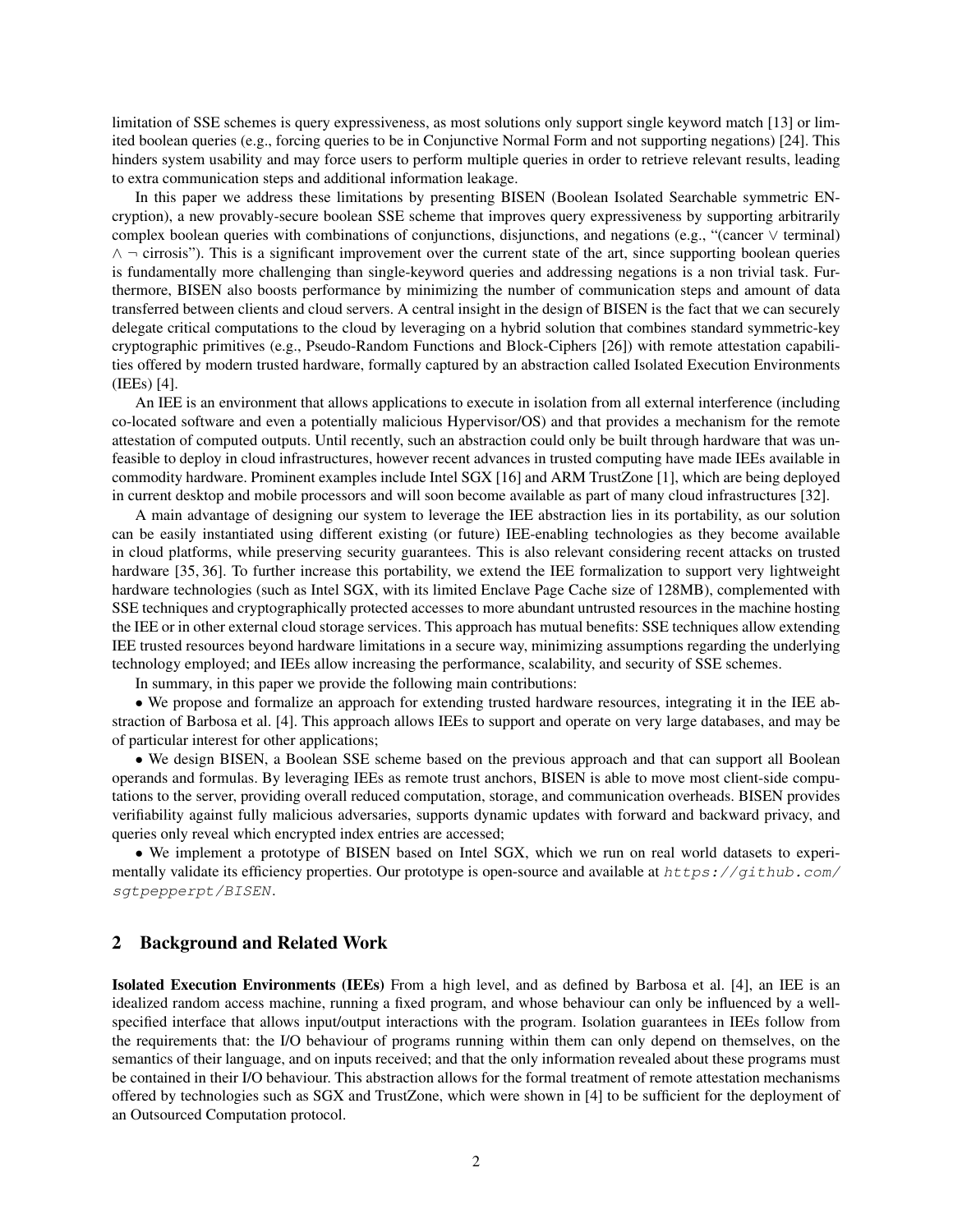limitation of SSE schemes is query expressiveness, as most solutions only support single keyword match [13] or limited boolean queries (e.g., forcing queries to be in Conjunctive Normal Form and not supporting negations) [24]. This hinders system usability and may force users to perform multiple queries in order to retrieve relevant results, leading to extra communication steps and additional information leakage.

In this paper we address these limitations by presenting BISEN (Boolean Isolated Searchable symmetric ENcryption), a new provably-secure boolean SSE scheme that improves query expressiveness by supporting arbitrarily complex boolean queries with combinations of conjunctions, disjunctions, and negations (e.g., "(cancer ∨ terminal)  $\wedge$   $\neg$  cirrosis"). This is a significant improvement over the current state of the art, since supporting boolean queries is fundamentally more challenging than single-keyword queries and addressing negations is a non trivial task. Furthermore, BISEN also boosts performance by minimizing the number of communication steps and amount of data transferred between clients and cloud servers. A central insight in the design of BISEN is the fact that we can securely delegate critical computations to the cloud by leveraging on a hybrid solution that combines standard symmetric-key cryptographic primitives (e.g., Pseudo-Random Functions and Block-Ciphers [26]) with remote attestation capabilities offered by modern trusted hardware, formally captured by an abstraction called Isolated Execution Environments (IEEs) [4].

An IEE is an environment that allows applications to execute in isolation from all external interference (including co-located software and even a potentially malicious Hypervisor/OS) and that provides a mechanism for the remote attestation of computed outputs. Until recently, such an abstraction could only be built through hardware that was unfeasible to deploy in cloud infrastructures, however recent advances in trusted computing have made IEEs available in commodity hardware. Prominent examples include Intel SGX [16] and ARM TrustZone [1], which are being deployed in current desktop and mobile processors and will soon become available as part of many cloud infrastructures [32].

A main advantage of designing our system to leverage the IEE abstraction lies in its portability, as our solution can be easily instantiated using different existing (or future) IEE-enabling technologies as they become available in cloud platforms, while preserving security guarantees. This is also relevant considering recent attacks on trusted hardware [35, 36]. To further increase this portability, we extend the IEE formalization to support very lightweight hardware technologies (such as Intel SGX, with its limited Enclave Page Cache size of 128MB), complemented with SSE techniques and cryptographically protected accesses to more abundant untrusted resources in the machine hosting the IEE or in other external cloud storage services. This approach has mutual benefits: SSE techniques allow extending IEE trusted resources beyond hardware limitations in a secure way, minimizing assumptions regarding the underlying technology employed; and IEEs allow increasing the performance, scalability, and security of SSE schemes.

In summary, in this paper we provide the following main contributions:

• We propose and formalize an approach for extending trusted hardware resources, integrating it in the IEE abstraction of Barbosa et al. [4]. This approach allows IEEs to support and operate on very large databases, and may be of particular interest for other applications;

• We design BISEN, a Boolean SSE scheme based on the previous approach and that can support all Boolean operands and formulas. By leveraging IEEs as remote trust anchors, BISEN is able to move most client-side computations to the server, providing overall reduced computation, storage, and communication overheads. BISEN provides verifiability against fully malicious adversaries, supports dynamic updates with forward and backward privacy, and queries only reveal which encrypted index entries are accessed;

• We implement a prototype of BISEN based on Intel SGX, which we run on real world datasets to experimentally validate its efficiency properties. Our prototype is open-source and available at https://github.com/ sgtpepperpt/BISEN.

## 2 Background and Related Work

Isolated Execution Environments (IEEs) From a high level, and as defined by Barbosa et al. [4], an IEE is an idealized random access machine, running a fixed program, and whose behaviour can only be influenced by a wellspecified interface that allows input/output interactions with the program. Isolation guarantees in IEEs follow from the requirements that: the I/O behaviour of programs running within them can only depend on themselves, on the semantics of their language, and on inputs received; and that the only information revealed about these programs must be contained in their I/O behaviour. This abstraction allows for the formal treatment of remote attestation mechanisms offered by technologies such as SGX and TrustZone, which were shown in [4] to be sufficient for the deployment of an Outsourced Computation protocol.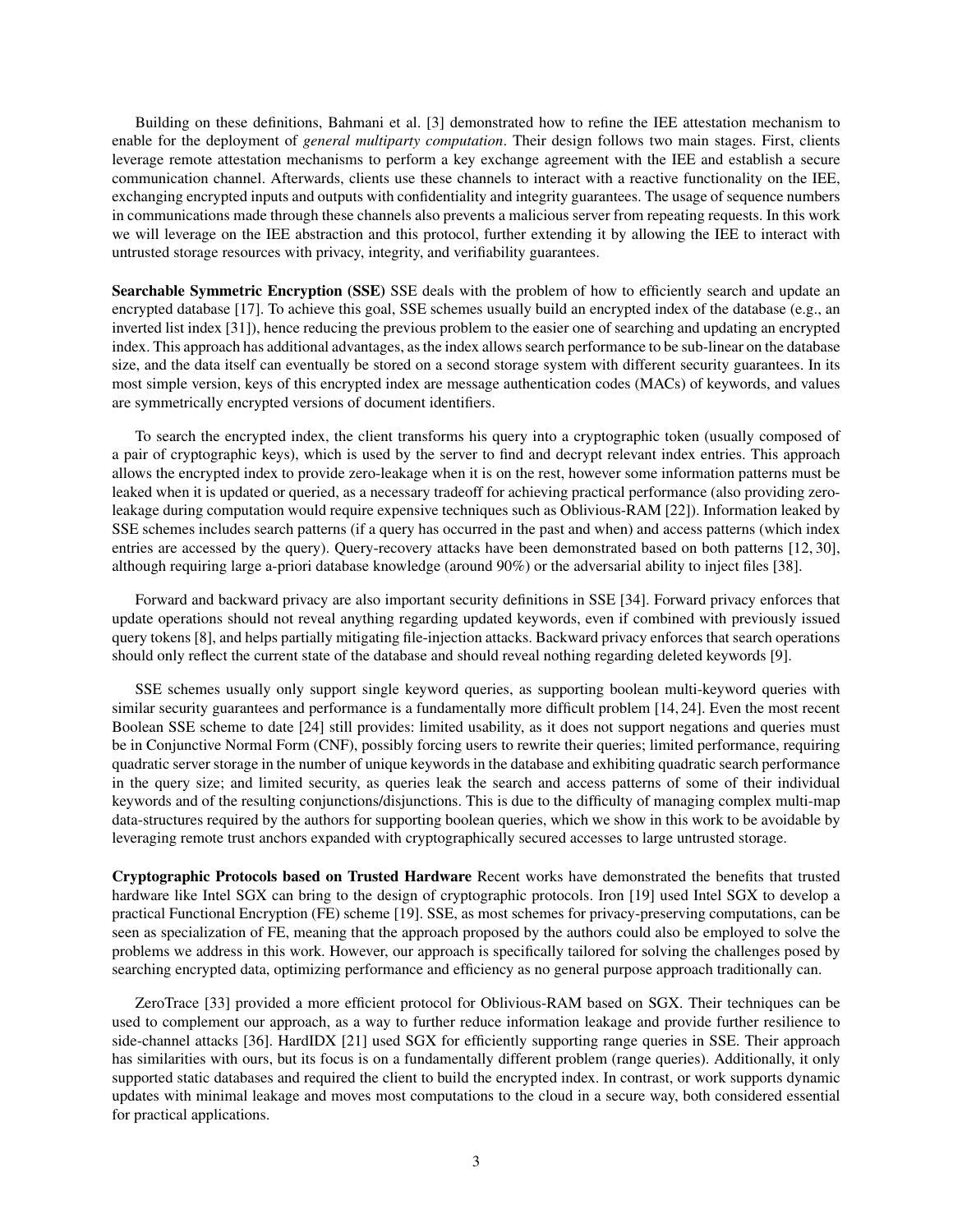Building on these definitions, Bahmani et al. [3] demonstrated how to refine the IEE attestation mechanism to enable for the deployment of *general multiparty computation*. Their design follows two main stages. First, clients leverage remote attestation mechanisms to perform a key exchange agreement with the IEE and establish a secure communication channel. Afterwards, clients use these channels to interact with a reactive functionality on the IEE, exchanging encrypted inputs and outputs with confidentiality and integrity guarantees. The usage of sequence numbers in communications made through these channels also prevents a malicious server from repeating requests. In this work we will leverage on the IEE abstraction and this protocol, further extending it by allowing the IEE to interact with untrusted storage resources with privacy, integrity, and verifiability guarantees.

Searchable Symmetric Encryption (SSE) SSE deals with the problem of how to efficiently search and update an encrypted database [17]. To achieve this goal, SSE schemes usually build an encrypted index of the database (e.g., an inverted list index [31]), hence reducing the previous problem to the easier one of searching and updating an encrypted index. This approach has additional advantages, as the index allows search performance to be sub-linear on the database size, and the data itself can eventually be stored on a second storage system with different security guarantees. In its most simple version, keys of this encrypted index are message authentication codes (MACs) of keywords, and values are symmetrically encrypted versions of document identifiers.

To search the encrypted index, the client transforms his query into a cryptographic token (usually composed of a pair of cryptographic keys), which is used by the server to find and decrypt relevant index entries. This approach allows the encrypted index to provide zero-leakage when it is on the rest, however some information patterns must be leaked when it is updated or queried, as a necessary tradeoff for achieving practical performance (also providing zeroleakage during computation would require expensive techniques such as Oblivious-RAM [22]). Information leaked by SSE schemes includes search patterns (if a query has occurred in the past and when) and access patterns (which index entries are accessed by the query). Query-recovery attacks have been demonstrated based on both patterns [12, 30], although requiring large a-priori database knowledge (around 90%) or the adversarial ability to inject files [38].

Forward and backward privacy are also important security definitions in SSE [34]. Forward privacy enforces that update operations should not reveal anything regarding updated keywords, even if combined with previously issued query tokens [8], and helps partially mitigating file-injection attacks. Backward privacy enforces that search operations should only reflect the current state of the database and should reveal nothing regarding deleted keywords [9].

SSE schemes usually only support single keyword queries, as supporting boolean multi-keyword queries with similar security guarantees and performance is a fundamentally more difficult problem [14, 24]. Even the most recent Boolean SSE scheme to date [24] still provides: limited usability, as it does not support negations and queries must be in Conjunctive Normal Form (CNF), possibly forcing users to rewrite their queries; limited performance, requiring quadratic server storage in the number of unique keywords in the database and exhibiting quadratic search performance in the query size; and limited security, as queries leak the search and access patterns of some of their individual keywords and of the resulting conjunctions/disjunctions. This is due to the difficulty of managing complex multi-map data-structures required by the authors for supporting boolean queries, which we show in this work to be avoidable by leveraging remote trust anchors expanded with cryptographically secured accesses to large untrusted storage.

Cryptographic Protocols based on Trusted Hardware Recent works have demonstrated the benefits that trusted hardware like Intel SGX can bring to the design of cryptographic protocols. Iron [19] used Intel SGX to develop a practical Functional Encryption (FE) scheme [19]. SSE, as most schemes for privacy-preserving computations, can be seen as specialization of FE, meaning that the approach proposed by the authors could also be employed to solve the problems we address in this work. However, our approach is specifically tailored for solving the challenges posed by searching encrypted data, optimizing performance and efficiency as no general purpose approach traditionally can.

ZeroTrace [33] provided a more efficient protocol for Oblivious-RAM based on SGX. Their techniques can be used to complement our approach, as a way to further reduce information leakage and provide further resilience to side-channel attacks [36]. HardIDX [21] used SGX for efficiently supporting range queries in SSE. Their approach has similarities with ours, but its focus is on a fundamentally different problem (range queries). Additionally, it only supported static databases and required the client to build the encrypted index. In contrast, or work supports dynamic updates with minimal leakage and moves most computations to the cloud in a secure way, both considered essential for practical applications.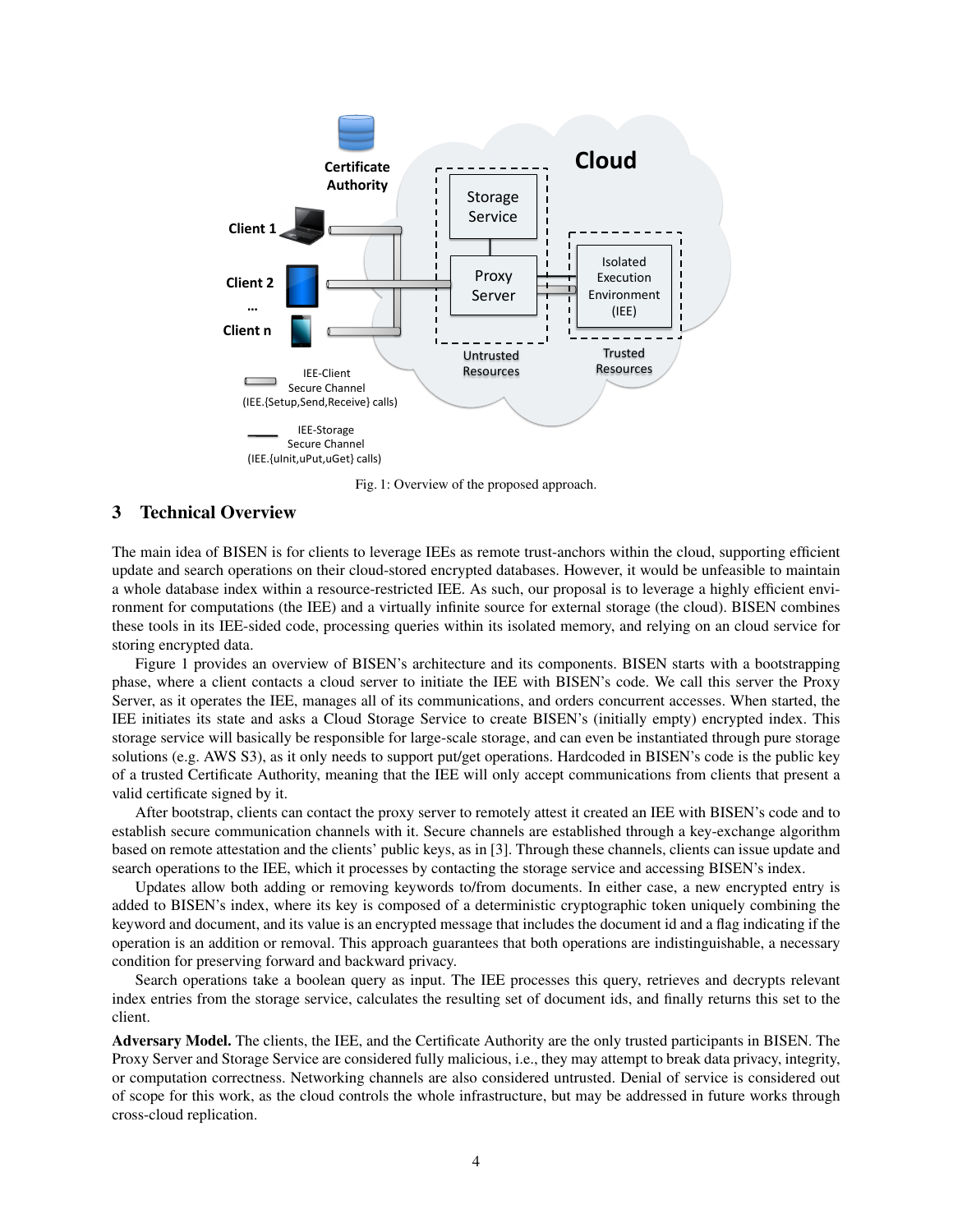

Fig. 1: Overview of the proposed approach.

# 3 Technical Overview

The main idea of BISEN is for clients to leverage IEEs as remote trust-anchors within the cloud, supporting efficient update and search operations on their cloud-stored encrypted databases. However, it would be unfeasible to maintain a whole database index within a resource-restricted IEE. As such, our proposal is to leverage a highly efficient environment for computations (the IEE) and a virtually infinite source for external storage (the cloud). BISEN combines these tools in its IEE-sided code, processing queries within its isolated memory, and relying on an cloud service for storing encrypted data.

Figure 1 provides an overview of BISEN's architecture and its components. BISEN starts with a bootstrapping phase, where a client contacts a cloud server to initiate the IEE with BISEN's code. We call this server the Proxy Server, as it operates the IEE, manages all of its communications, and orders concurrent accesses. When started, the IEE initiates its state and asks a Cloud Storage Service to create BISEN's (initially empty) encrypted index. This storage service will basically be responsible for large-scale storage, and can even be instantiated through pure storage solutions (e.g. AWS S3), as it only needs to support put/get operations. Hardcoded in BISEN's code is the public key of a trusted Certificate Authority, meaning that the IEE will only accept communications from clients that present a valid certificate signed by it.

After bootstrap, clients can contact the proxy server to remotely attest it created an IEE with BISEN's code and to establish secure communication channels with it. Secure channels are established through a key-exchange algorithm based on remote attestation and the clients' public keys, as in [3]. Through these channels, clients can issue update and search operations to the IEE, which it processes by contacting the storage service and accessing BISEN's index.

Updates allow both adding or removing keywords to/from documents. In either case, a new encrypted entry is added to BISEN's index, where its key is composed of a deterministic cryptographic token uniquely combining the keyword and document, and its value is an encrypted message that includes the document id and a flag indicating if the operation is an addition or removal. This approach guarantees that both operations are indistinguishable, a necessary condition for preserving forward and backward privacy.

Search operations take a boolean query as input. The IEE processes this query, retrieves and decrypts relevant index entries from the storage service, calculates the resulting set of document ids, and finally returns this set to the client.

Adversary Model. The clients, the IEE, and the Certificate Authority are the only trusted participants in BISEN. The Proxy Server and Storage Service are considered fully malicious, i.e., they may attempt to break data privacy, integrity, or computation correctness. Networking channels are also considered untrusted. Denial of service is considered out of scope for this work, as the cloud controls the whole infrastructure, but may be addressed in future works through cross-cloud replication.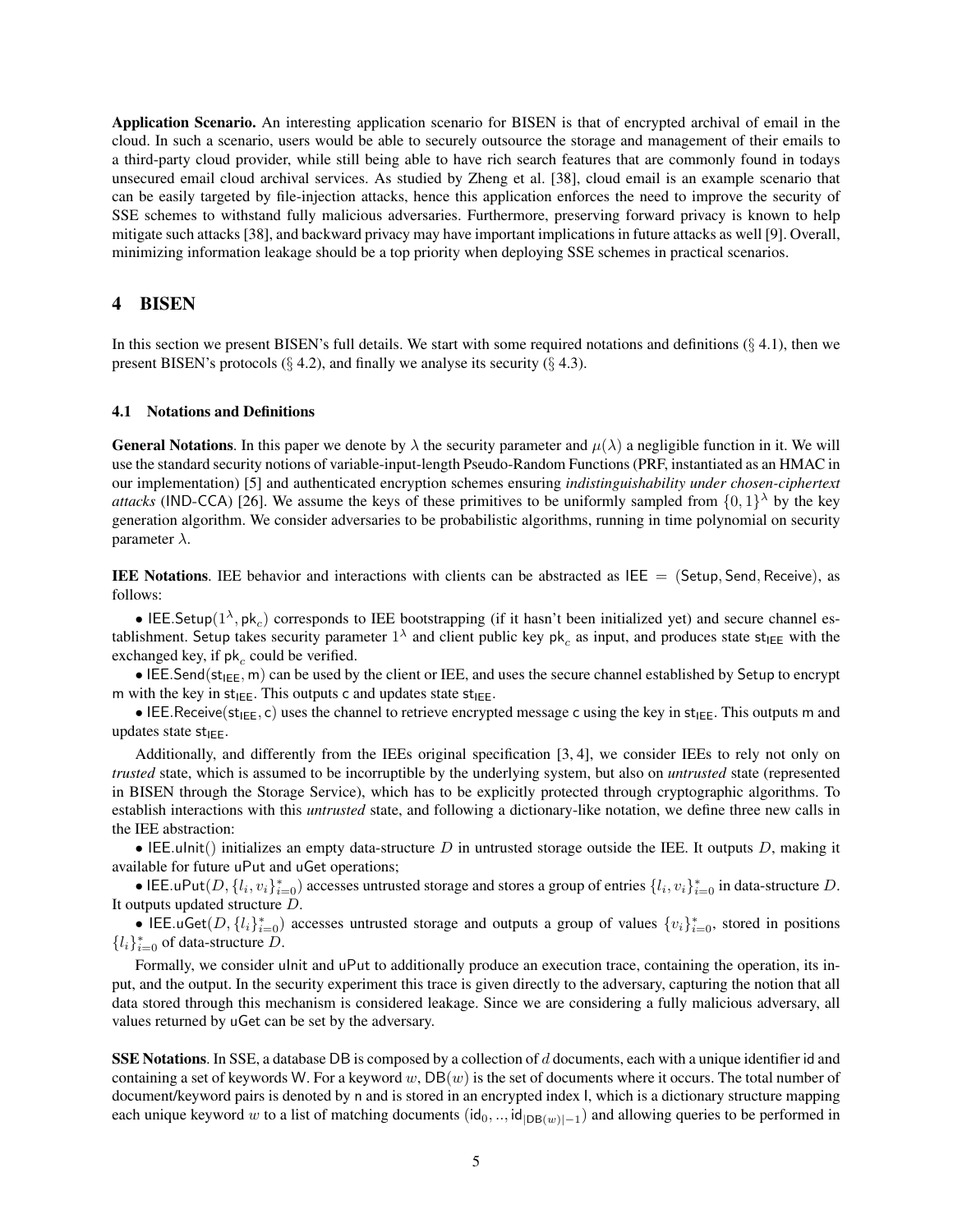Application Scenario. An interesting application scenario for BISEN is that of encrypted archival of email in the cloud. In such a scenario, users would be able to securely outsource the storage and management of their emails to a third-party cloud provider, while still being able to have rich search features that are commonly found in todays unsecured email cloud archival services. As studied by Zheng et al. [38], cloud email is an example scenario that can be easily targeted by file-injection attacks, hence this application enforces the need to improve the security of SSE schemes to withstand fully malicious adversaries. Furthermore, preserving forward privacy is known to help mitigate such attacks [38], and backward privacy may have important implications in future attacks as well [9]. Overall, minimizing information leakage should be a top priority when deploying SSE schemes in practical scenarios.

## 4 BISEN

In this section we present BISEN's full details. We start with some required notations and definitions  $(\S 4.1)$ , then we present BISEN's protocols  $(\S 4.2)$ , and finally we analyse its security  $(\S 4.3)$ .

#### 4.1 Notations and Definitions

**General Notations.** In this paper we denote by  $\lambda$  the security parameter and  $\mu(\lambda)$  a negligible function in it. We will use the standard security notions of variable-input-length Pseudo-Random Functions (PRF, instantiated as an HMAC in our implementation) [5] and authenticated encryption schemes ensuring *indistinguishability under chosen-ciphertext attacks* (IND-CCA) [26]. We assume the keys of these primitives to be uniformly sampled from  $\{0,1\}^{\lambda}$  by the key generation algorithm. We consider adversaries to be probabilistic algorithms, running in time polynomial on security parameter  $\lambda$ .

IEE Notations. IEE behavior and interactions with clients can be abstracted as  $IEE = (Setup, Send, Receiver)$ , as follows:

• IEE.Setup( $1^{\lambda}$ , pk<sub>c</sub>) corresponds to IEE bootstrapping (if it hasn't been initialized yet) and secure channel establishment. Setup takes security parameter  $1^{\lambda}$  and client public key pk<sub>c</sub> as input, and produces state st<sub>IEE</sub> with the exchanged key, if  $pk_c$  could be verified.

• IEE.Send(st<sub>IEE</sub>, m) can be used by the client or IEE, and uses the secure channel established by Setup to encrypt m with the key in  $st_{IEE}$ . This outputs c and updates state  $st_{IEE}$ .

• IEE.Receive( $st_{\text{IEE}}$ , c) uses the channel to retrieve encrypted message c using the key in  $st_{\text{IEE}}$ . This outputs m and updates state  $st_{IFF}$ .

Additionally, and differently from the IEEs original specification [3, 4], we consider IEEs to rely not only on *trusted* state, which is assumed to be incorruptible by the underlying system, but also on *untrusted* state (represented in BISEN through the Storage Service), which has to be explicitly protected through cryptographic algorithms. To establish interactions with this *untrusted* state, and following a dictionary-like notation, we define three new calls in the IEE abstraction:

• IEE.ulnit() initializes an empty data-structure  $D$  in untrusted storage outside the IEE. It outputs  $D$ , making it available for future uPut and uGet operations;

• IEE.uPut $(D, \{l_i, v_i\}_{i=0}^*)$  accesses untrusted storage and stores a group of entries  $\{l_i, v_i\}_{i=0}^*$  in data-structure D. It outputs updated structure D.

• IEE.uGet $(D, \{l_i\}_{i=0}^*)$  accesses untrusted storage and outputs a group of values  $\{v_i\}_{i=0}^*$ , stored in positions  ${l_i}_{i=0}^*$  of data-structure  $D$ .

Formally, we consider ulnit and uPut to additionally produce an execution trace, containing the operation, its input, and the output. In the security experiment this trace is given directly to the adversary, capturing the notion that all data stored through this mechanism is considered leakage. Since we are considering a fully malicious adversary, all values returned by uGet can be set by the adversary.

SSE Notations. In SSE, a database DB is composed by a collection of d documents, each with a unique identifier id and containing a set of keywords W. For a keyword w,  $DB(w)$  is the set of documents where it occurs. The total number of document/keyword pairs is denoted by n and is stored in an encrypted index I, which is a dictionary structure mapping each unique keyword w to a list of matching documents  $(id_0, \dots, id_{|DB(w)|-1})$  and allowing queries to be performed in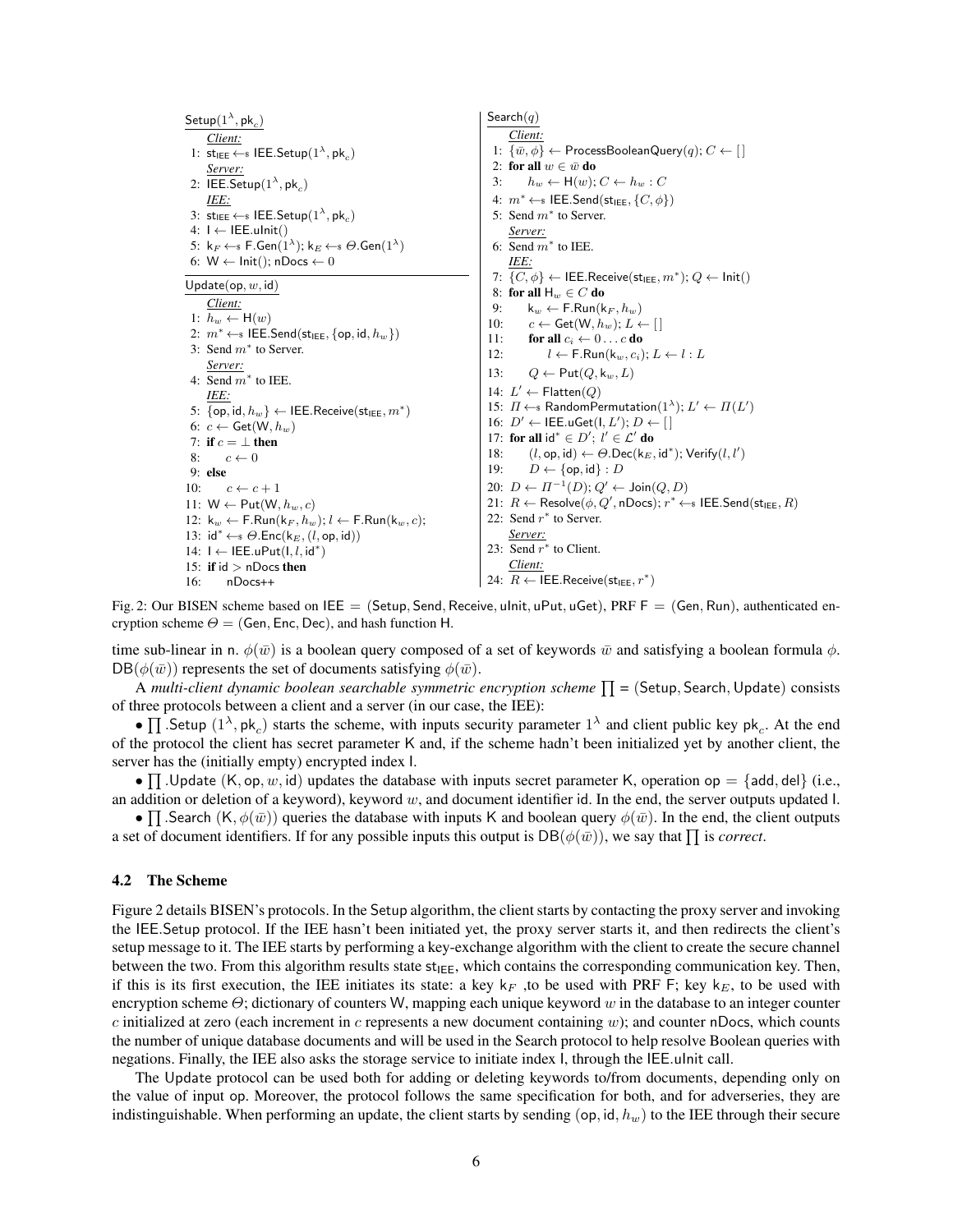$\mathsf{Setup}(1^\lambda,\mathsf{pk}_c)$ *Client:* 1:  $\mathsf{st}_{\mathsf{IEEE}} \leftarrow \{ \mathsf{IEEE}\mathsf{Setup}(1^\lambda,\mathsf{pk}_c)$ *Server:* 2: IEE.Setup $(1^{\lambda}, \mathsf{pk}_c)$ *IEE:* 3:  $\mathsf{st}_{\mathsf{IEE}} \leftarrow \{ \mathsf{IEE}.\mathsf{Setup}(1^\lambda,\mathsf{pk}_c)$ 4:  $I \leftarrow$  IEE.ulnit() 5:  $k_F \leftarrow s$  F.Gen $(1^{\lambda})$ ;  $k_E \leftarrow s \Theta$ .Gen $(1^{\lambda})$ 6: W ← Init(); nDocs ← 0 Update $(op, w, id)$ *Client:* 1:  $h_w \leftarrow H(w)$  $2{:}~~m^* \leftarrow_{\$} \mathsf{IEE.Send}(\mathsf{st}_{\mathsf{IEE}},\{\mathsf{op},\mathsf{id},h_w\})$ 3: Send m<sup>∗</sup> to Server. *Server:* 4: Send  $m^*$  to IEE. *IEE:* 5:  $\{op, id, h_w\} \leftarrow \mathsf{IEEE}.\mathsf{Receive}(\mathsf{st}_{\mathsf{IEE}}, m^*)$ 6:  $c \leftarrow \mathsf{Get}(W, h_w)$ 7: if  $c = \perp$  then 8:  $c \leftarrow 0$ 9: else 10:  $c \leftarrow c + 1$ 11:  $W \leftarrow Put(W, h_w, c)$ 12:  $k_w \leftarrow \mathsf{F.Run}(k_F, h_w); l \leftarrow \mathsf{F.Run}(k_w, c);$ 13:  $id^* \leftarrow s \Theta$ .Enc $(k_E, (l, op, id))$ 14:  $I \leftarrow \text{IEE.uPut}(I, l, id^*)$ 15: if  $id > n$ Docs then 16: nDocs++ Search $(q)$ *Client:* 1:  $\{\bar{w}, \phi\} \leftarrow$  ProcessBooleanQuery $(q)$ ;  $C \leftarrow [$ ] 2: for all  $w \in \bar{w}$  do 3:  $h_w \leftarrow H(w); C \leftarrow h_w : C$ 4:  $m^* \leftarrow s$  IEE.Send(st<sub>IEE</sub>,  $\{C, \phi\}$ ) 5: Send m<sup>∗</sup> to Server. *Server:* 6: Send  $m^*$  to IEE. *IEE:* 7:  $\{C, \phi\} \leftarrow \mathsf{IEEE}.\mathsf{Receive}(\mathsf{st}_{\mathsf{IEEE}}, m^*); Q \leftarrow \mathsf{Init}()$ 8: for all  $\mathsf{H}_w \in C$  do 9:  $k_w \leftarrow F.Run(k_F, h_w)$ 10:  $c \leftarrow \mathsf{Get}(W, h_w); L \leftarrow [$ 11: for all  $c_i \leftarrow 0 \dots c$  do<br>12:  $l \leftarrow F.Run(k_w, c_i)$  $l \leftarrow \mathsf{F.Run}(\mathsf{k}_w, c_i); L \leftarrow l : L$ 13:  $Q \leftarrow \text{Put}(Q, k_w, L)$ 14:  $L' \leftarrow \text{Flatten}(Q)$ 15:  $\Pi \leftarrow$  Random Permutation  $(1^{\lambda})$ ;  $L' \leftarrow \Pi(L')$ 16:  $D' \leftarrow \text{IEEE.uGet}(I, L'); D \leftarrow []$ 17: for all  $id^* \in D'$ ;  $l' \in \mathcal{L}'$  do 18:  $(l, \text{op}, \text{id}) \leftarrow \Theta \text{.Dec}(k_E, \text{id}^*)$ ; Verify $(l, l')$ 19:  $D \leftarrow \{\textsf{op}, \textsf{id}\} : D$ 20: *D* ←  $\Pi^{-1}(D)$ ;  $Q'$  ← Join $(Q, D)$ 21:  $R \leftarrow$  Resolve $(\phi, Q', \text{nDocs})$ ;  $r^* \leftarrow$ s IEE.Send $(\text{st}_{\text{IEE}}, R)$ 22: Send  $r^*$  to Server. *Server:* 23: Send  $r^*$  to Client. *Client:* 24:  $R \leftarrow \text{IEEE}$ . Receive $(\text{st}_{\text{IEEE}}, r^*)$ 

Fig. 2: Our BISEN scheme based on IEE = (Setup, Send, Receive, uInit, uPut, uGet), PRF  $F = (Gen, Run)$ , authenticated encryption scheme  $\Theta = (Gen, Enc, Dec)$ , and hash function H.

time sub-linear in n.  $\phi(\bar{w})$  is a boolean query composed of a set of keywords  $\bar{w}$  and satisfying a boolean formula  $\phi$ .  $DB(\phi(\bar{w}))$  represents the set of documents satisfying  $\phi(\bar{w})$ .

A *multi-client dynamic boolean searchable symmetric encryption scheme*  $\prod$  = (Setup, Search, Update) consists of three protocols between a client and a server (in our case, the IEE):

•  $\Pi$ . Setup  $(1^{\lambda}, p k_c)$  starts the scheme, with inputs security parameter  $1^{\lambda}$  and client public key pk<sub>c</sub>. At the end of the protocol the client has secret parameter K and, if the scheme hadn't been initialized yet by another client, the server has the (initially empty) encrypted index I.

•  $\Pi$ . Update (K, op, w, id) updates the database with inputs secret parameter K, operation op = {add, del} (i.e., an addition or deletion of a keyword), keyword  $w$ , and document identifier id. In the end, the server outputs updated I.

•  $\prod$  Search  $(K, \phi(\bar{w}))$  queries the database with inputs K and boolean query  $\phi(\bar{w})$ . In the end, the client outputs a set of document identifiers. If for any possible inputs this output is  $DB(\phi(\bar{w}))$ , we say that  $\prod$  is *correct*.

#### 4.2 The Scheme

Figure 2 details BISEN's protocols. In the Setup algorithm, the client starts by contacting the proxy server and invoking the IEE.Setup protocol. If the IEE hasn't been initiated yet, the proxy server starts it, and then redirects the client's setup message to it. The IEE starts by performing a key-exchange algorithm with the client to create the secure channel between the two. From this algorithm results state  $st_{IEE}$ , which contains the corresponding communication key. Then, if this is its first execution, the IEE initiates its state: a key  $k_F$ , to be used with PRF F; key  $k_F$ , to be used with encryption scheme  $\Theta$ ; dictionary of counters W, mapping each unique keyword w in the database to an integer counter c initialized at zero (each increment in c represents a new document containing w); and counter nDocs, which counts the number of unique database documents and will be used in the Search protocol to help resolve Boolean queries with negations. Finally, the IEE also asks the storage service to initiate index I, through the IEE.uInit call.

The Update protocol can be used both for adding or deleting keywords to/from documents, depending only on the value of input op. Moreover, the protocol follows the same specification for both, and for adverseries, they are indistinguishable. When performing an update, the client starts by sending (op, id,  $h_w$ ) to the IEE through their secure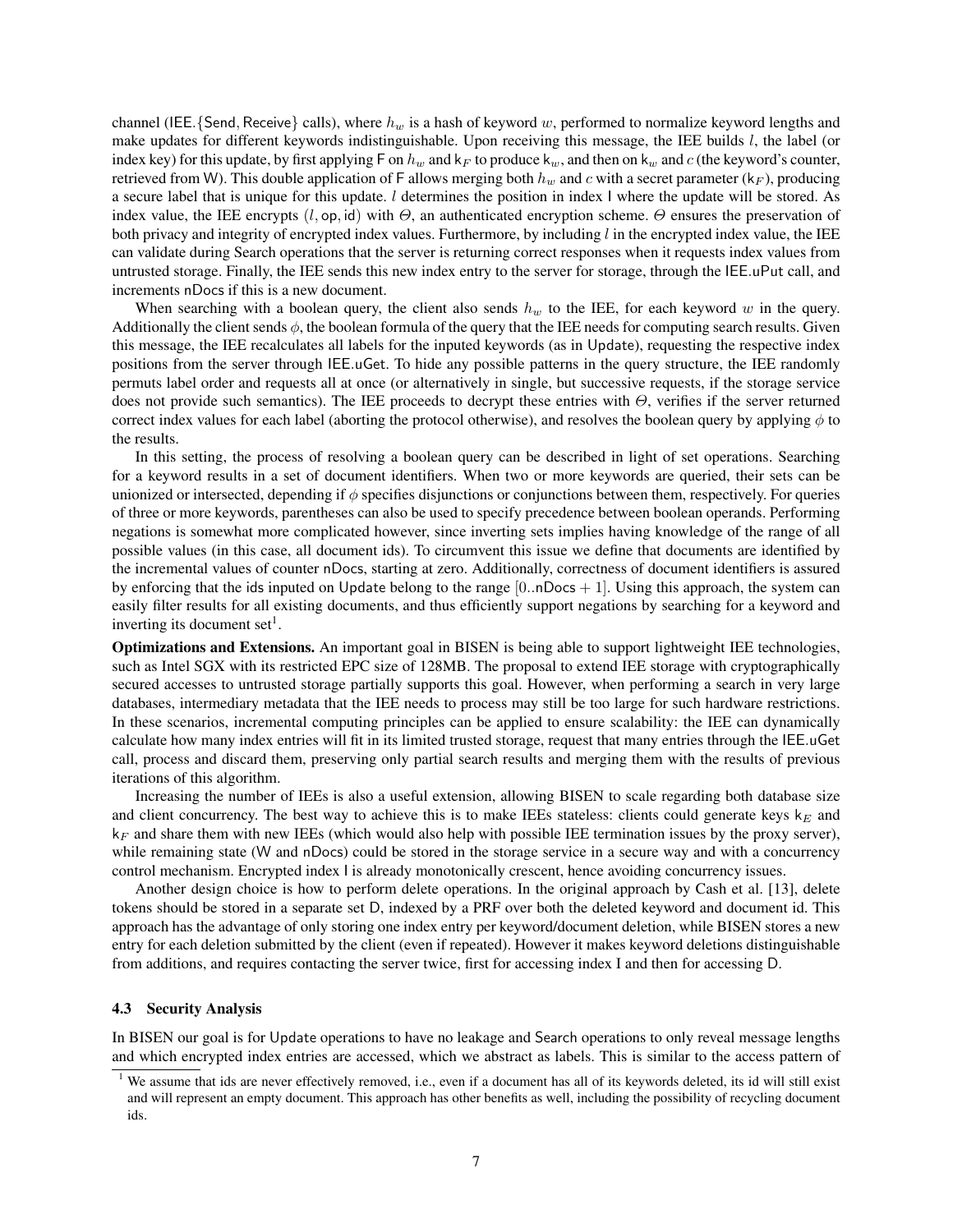channel (IEE.{Send, Receive} calls), where  $h_w$  is a hash of keyword w, performed to normalize keyword lengths and make updates for different keywords indistinguishable. Upon receiving this message, the IEE builds l, the label (or index key) for this update, by first applying F on  $h_w$  and  $k_F$  to produce  $k_w$ , and then on  $k_w$  and c (the keyword's counter, retrieved from W). This double application of F allows merging both  $h_w$  and c with a secret parameter ( $k_F$ ), producing a secure label that is unique for this update. l determines the position in index I where the update will be stored. As index value, the IEE encrypts  $(l, \text{op}, \text{id})$  with  $\Theta$ , an authenticated encryption scheme.  $\Theta$  ensures the preservation of both privacy and integrity of encrypted index values. Furthermore, by including  $l$  in the encrypted index value, the IEE can validate during Search operations that the server is returning correct responses when it requests index values from untrusted storage. Finally, the IEE sends this new index entry to the server for storage, through the IEE.uPut call, and increments nDocs if this is a new document.

When searching with a boolean query, the client also sends  $h_w$  to the IEE, for each keyword w in the query. Additionally the client sends  $\phi$ , the boolean formula of the query that the IEE needs for computing search results. Given this message, the IEE recalculates all labels for the inputed keywords (as in Update), requesting the respective index positions from the server through IEE.uGet. To hide any possible patterns in the query structure, the IEE randomly permuts label order and requests all at once (or alternatively in single, but successive requests, if the storage service does not provide such semantics). The IEE proceeds to decrypt these entries with  $\Theta$ , verifies if the server returned correct index values for each label (aborting the protocol otherwise), and resolves the boolean query by applying  $\phi$  to the results.

In this setting, the process of resolving a boolean query can be described in light of set operations. Searching for a keyword results in a set of document identifiers. When two or more keywords are queried, their sets can be unionized or intersected, depending if  $\phi$  specifies disjunctions or conjunctions between them, respectively. For queries of three or more keywords, parentheses can also be used to specify precedence between boolean operands. Performing negations is somewhat more complicated however, since inverting sets implies having knowledge of the range of all possible values (in this case, all document ids). To circumvent this issue we define that documents are identified by the incremental values of counter nDocs, starting at zero. Additionally, correctness of document identifiers is assured by enforcing that the ids inputed on Update belong to the range  $[0..n$ Docs  $+1]$ . Using this approach, the system can easily filter results for all existing documents, and thus efficiently support negations by searching for a keyword and inverting its document set<sup>1</sup>.

Optimizations and Extensions. An important goal in BISEN is being able to support lightweight IEE technologies, such as Intel SGX with its restricted EPC size of 128MB. The proposal to extend IEE storage with cryptographically secured accesses to untrusted storage partially supports this goal. However, when performing a search in very large databases, intermediary metadata that the IEE needs to process may still be too large for such hardware restrictions. In these scenarios, incremental computing principles can be applied to ensure scalability: the IEE can dynamically calculate how many index entries will fit in its limited trusted storage, request that many entries through the IEE.uGet call, process and discard them, preserving only partial search results and merging them with the results of previous iterations of this algorithm.

Increasing the number of IEEs is also a useful extension, allowing BISEN to scale regarding both database size and client concurrency. The best way to achieve this is to make IEEs stateless: clients could generate keys  $k_E$  and  $k_F$  and share them with new IEEs (which would also help with possible IEE termination issues by the proxy server), while remaining state (W and nDocs) could be stored in the storage service in a secure way and with a concurrency control mechanism. Encrypted index I is already monotonically crescent, hence avoiding concurrency issues.

Another design choice is how to perform delete operations. In the original approach by Cash et al. [13], delete tokens should be stored in a separate set D, indexed by a PRF over both the deleted keyword and document id. This approach has the advantage of only storing one index entry per keyword/document deletion, while BISEN stores a new entry for each deletion submitted by the client (even if repeated). However it makes keyword deletions distinguishable from additions, and requires contacting the server twice, first for accessing index I and then for accessing D.

### 4.3 Security Analysis

In BISEN our goal is for Update operations to have no leakage and Search operations to only reveal message lengths and which encrypted index entries are accessed, which we abstract as labels. This is similar to the access pattern of

<sup>&</sup>lt;sup>1</sup> We assume that ids are never effectively removed, i.e., even if a document has all of its keywords deleted, its id will still exist and will represent an empty document. This approach has other benefits as well, including the possibility of recycling document ids.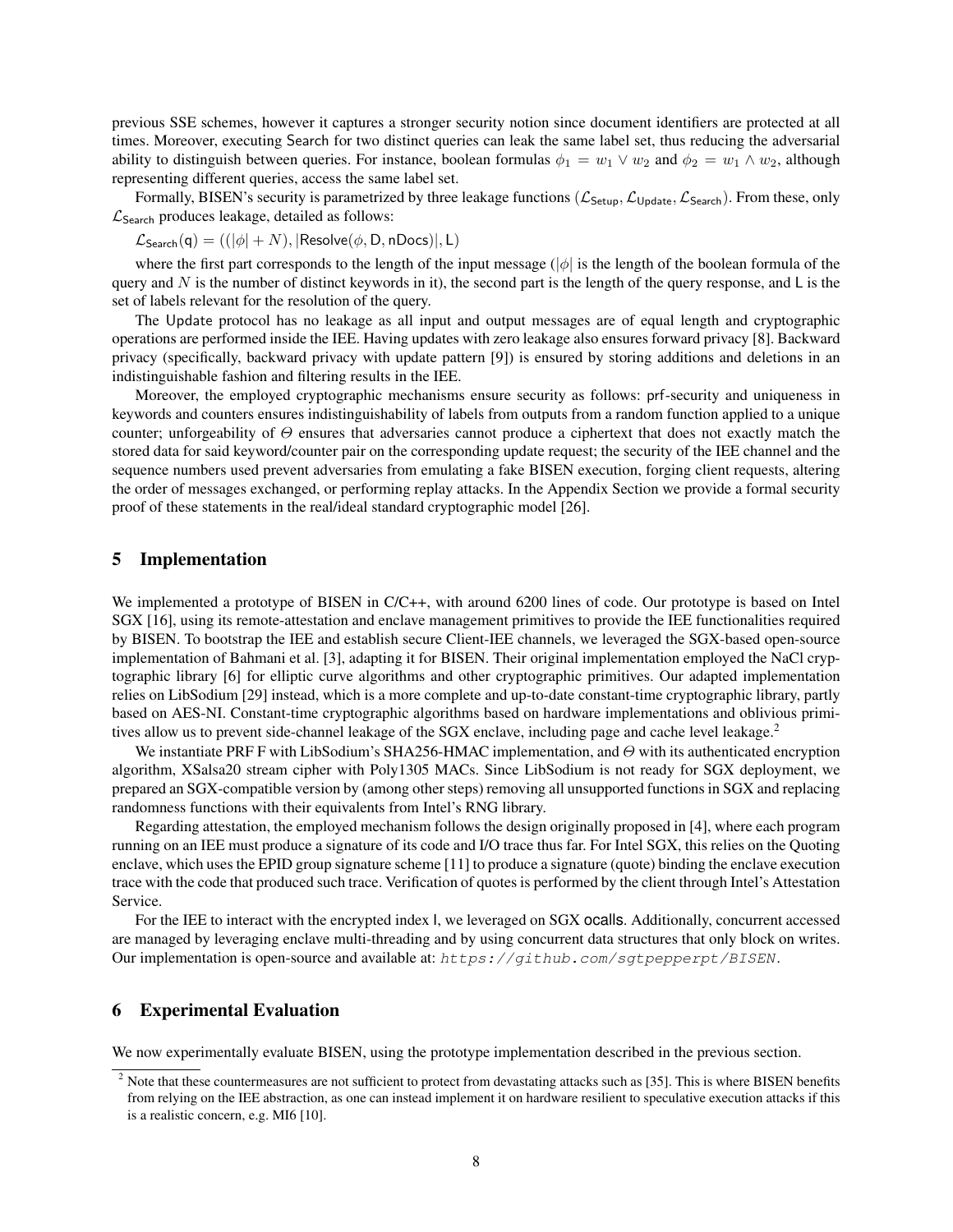previous SSE schemes, however it captures a stronger security notion since document identifiers are protected at all times. Moreover, executing Search for two distinct queries can leak the same label set, thus reducing the adversarial ability to distinguish between queries. For instance, boolean formulas  $\phi_1 = w_1 \vee w_2$  and  $\phi_2 = w_1 \wedge w_2$ , although representing different queries, access the same label set.

Formally, BISEN's security is parametrized by three leakage functions ( $\mathcal{L}_{\mathsf{Setup}}$ ,  $\mathcal{L}_{\mathsf{Update}}$ ,  $\mathcal{L}_{\mathsf{Search}}$ ). From these, only  $\mathcal{L}_{\text{Search}}$  produces leakage, detailed as follows:

 $\mathcal{L}_{\text{Search}}(q) = ((|\phi| + N), |\text{Resolve}(\phi, D, n \text{Docs})|, L)$ 

where the first part corresponds to the length of the input message ( $|\phi|$  is the length of the boolean formula of the query and N is the number of distinct keywords in it), the second part is the length of the query response, and L is the set of labels relevant for the resolution of the query.

The Update protocol has no leakage as all input and output messages are of equal length and cryptographic operations are performed inside the IEE. Having updates with zero leakage also ensures forward privacy [8]. Backward privacy (specifically, backward privacy with update pattern [9]) is ensured by storing additions and deletions in an indistinguishable fashion and filtering results in the IEE.

Moreover, the employed cryptographic mechanisms ensure security as follows: prf-security and uniqueness in keywords and counters ensures indistinguishability of labels from outputs from a random function applied to a unique counter; unforgeability of  $\Theta$  ensures that adversaries cannot produce a ciphertext that does not exactly match the stored data for said keyword/counter pair on the corresponding update request; the security of the IEE channel and the sequence numbers used prevent adversaries from emulating a fake BISEN execution, forging client requests, altering the order of messages exchanged, or performing replay attacks. In the Appendix Section we provide a formal security proof of these statements in the real/ideal standard cryptographic model [26].

## 5 Implementation

We implemented a prototype of BISEN in C/C++, with around 6200 lines of code. Our prototype is based on Intel SGX [16], using its remote-attestation and enclave management primitives to provide the IEE functionalities required by BISEN. To bootstrap the IEE and establish secure Client-IEE channels, we leveraged the SGX-based open-source implementation of Bahmani et al. [3], adapting it for BISEN. Their original implementation employed the NaCl cryptographic library [6] for elliptic curve algorithms and other cryptographic primitives. Our adapted implementation relies on LibSodium [29] instead, which is a more complete and up-to-date constant-time cryptographic library, partly based on AES-NI. Constant-time cryptographic algorithms based on hardware implementations and oblivious primitives allow us to prevent side-channel leakage of the SGX enclave, including page and cache level leakage.<sup>2</sup>

We instantiate PRF F with LibSodium's SHA256-HMAC implementation, and  $\Theta$  with its authenticated encryption algorithm, XSalsa20 stream cipher with Poly1305 MACs. Since LibSodium is not ready for SGX deployment, we prepared an SGX-compatible version by (among other steps) removing all unsupported functions in SGX and replacing randomness functions with their equivalents from Intel's RNG library.

Regarding attestation, the employed mechanism follows the design originally proposed in [4], where each program running on an IEE must produce a signature of its code and I/O trace thus far. For Intel SGX, this relies on the Quoting enclave, which uses the EPID group signature scheme [11] to produce a signature (quote) binding the enclave execution trace with the code that produced such trace. Verification of quotes is performed by the client through Intel's Attestation Service.

For the IEE to interact with the encrypted index I, we leveraged on SGX ocalls. Additionally, concurrent accessed are managed by leveraging enclave multi-threading and by using concurrent data structures that only block on writes. Our implementation is open-source and available at: https://github.com/sgtpepperpt/BISEN.

## 6 Experimental Evaluation

We now experimentally evaluate BISEN, using the prototype implementation described in the previous section.

 $2$  Note that these countermeasures are not sufficient to protect from devastating attacks such as [35]. This is where BISEN benefits from relying on the IEE abstraction, as one can instead implement it on hardware resilient to speculative execution attacks if this is a realistic concern, e.g. MI6 [10].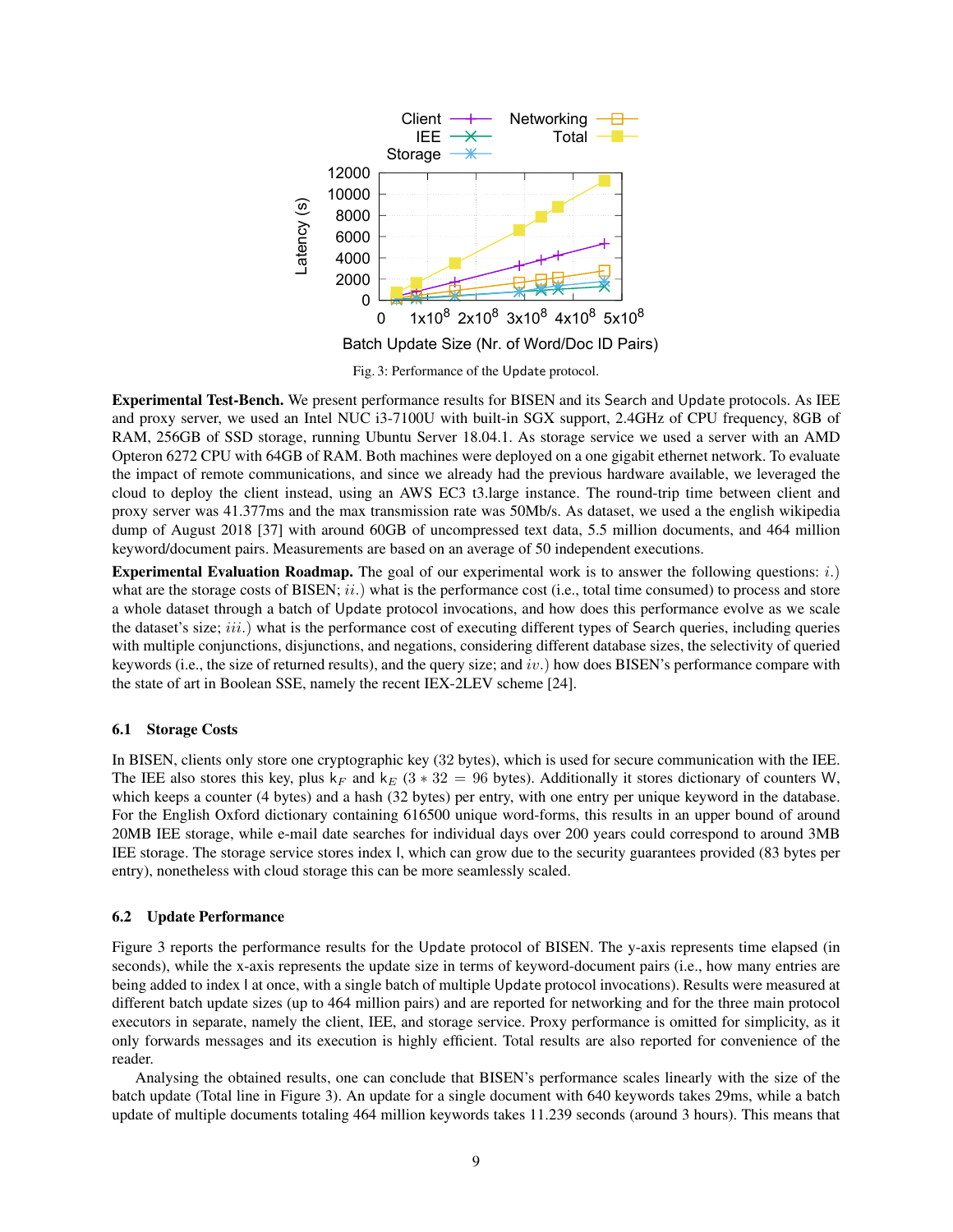

Fig. 3: Performance of the Update protocol.

Experimental Test-Bench. We present performance results for BISEN and its Search and Update protocols. As IEE and proxy server, we used an Intel NUC i3-7100U with built-in SGX support, 2.4GHz of CPU frequency, 8GB of RAM, 256GB of SSD storage, running Ubuntu Server 18.04.1. As storage service we used a server with an AMD Opteron 6272 CPU with 64GB of RAM. Both machines were deployed on a one gigabit ethernet network. To evaluate the impact of remote communications, and since we already had the previous hardware available, we leveraged the cloud to deploy the client instead, using an AWS EC3 t3.large instance. The round-trip time between client and proxy server was 41.377ms and the max transmission rate was 50Mb/s. As dataset, we used a the english wikipedia dump of August 2018 [37] with around 60GB of uncompressed text data, 5.5 million documents, and 464 million keyword/document pairs. Measurements are based on an average of 50 independent executions.

**Experimental Evaluation Roadmap.** The goal of our experimental work is to answer the following questions: *i.*) what are the storage costs of BISEN;  $ii$ .) what is the performance cost (i.e., total time consumed) to process and store a whole dataset through a batch of Update protocol invocations, and how does this performance evolve as we scale the dataset's size;  $iii.$ ) what is the performance cost of executing different types of Search queries, including queries with multiple conjunctions, disjunctions, and negations, considering different database sizes, the selectivity of queried keywords (i.e., the size of returned results), and the query size; and  $iv$ .) how does BISEN's performance compare with the state of art in Boolean SSE, namely the recent IEX-2LEV scheme [24].

## 6.1 Storage Costs

In BISEN, clients only store one cryptographic key (32 bytes), which is used for secure communication with the IEE. The IEE also stores this key, plus k<sub>F</sub> and k<sub>E</sub> (3 \* 32 = 96 bytes). Additionally it stores dictionary of counters W, which keeps a counter (4 bytes) and a hash (32 bytes) per entry, with one entry per unique keyword in the database. For the English Oxford dictionary containing 616500 unique word-forms, this results in an upper bound of around 20MB IEE storage, while e-mail date searches for individual days over 200 years could correspond to around 3MB IEE storage. The storage service stores index I, which can grow due to the security guarantees provided (83 bytes per entry), nonetheless with cloud storage this can be more seamlessly scaled.

#### 6.2 Update Performance

Figure 3 reports the performance results for the Update protocol of BISEN. The y-axis represents time elapsed (in seconds), while the x-axis represents the update size in terms of keyword-document pairs (i.e., how many entries are being added to index I at once, with a single batch of multiple Update protocol invocations). Results were measured at different batch update sizes (up to 464 million pairs) and are reported for networking and for the three main protocol executors in separate, namely the client, IEE, and storage service. Proxy performance is omitted for simplicity, as it only forwards messages and its execution is highly efficient. Total results are also reported for convenience of the reader.

Analysing the obtained results, one can conclude that BISEN's performance scales linearly with the size of the batch update (Total line in Figure 3). An update for a single document with 640 keywords takes 29ms, while a batch update of multiple documents totaling 464 million keywords takes 11.239 seconds (around 3 hours). This means that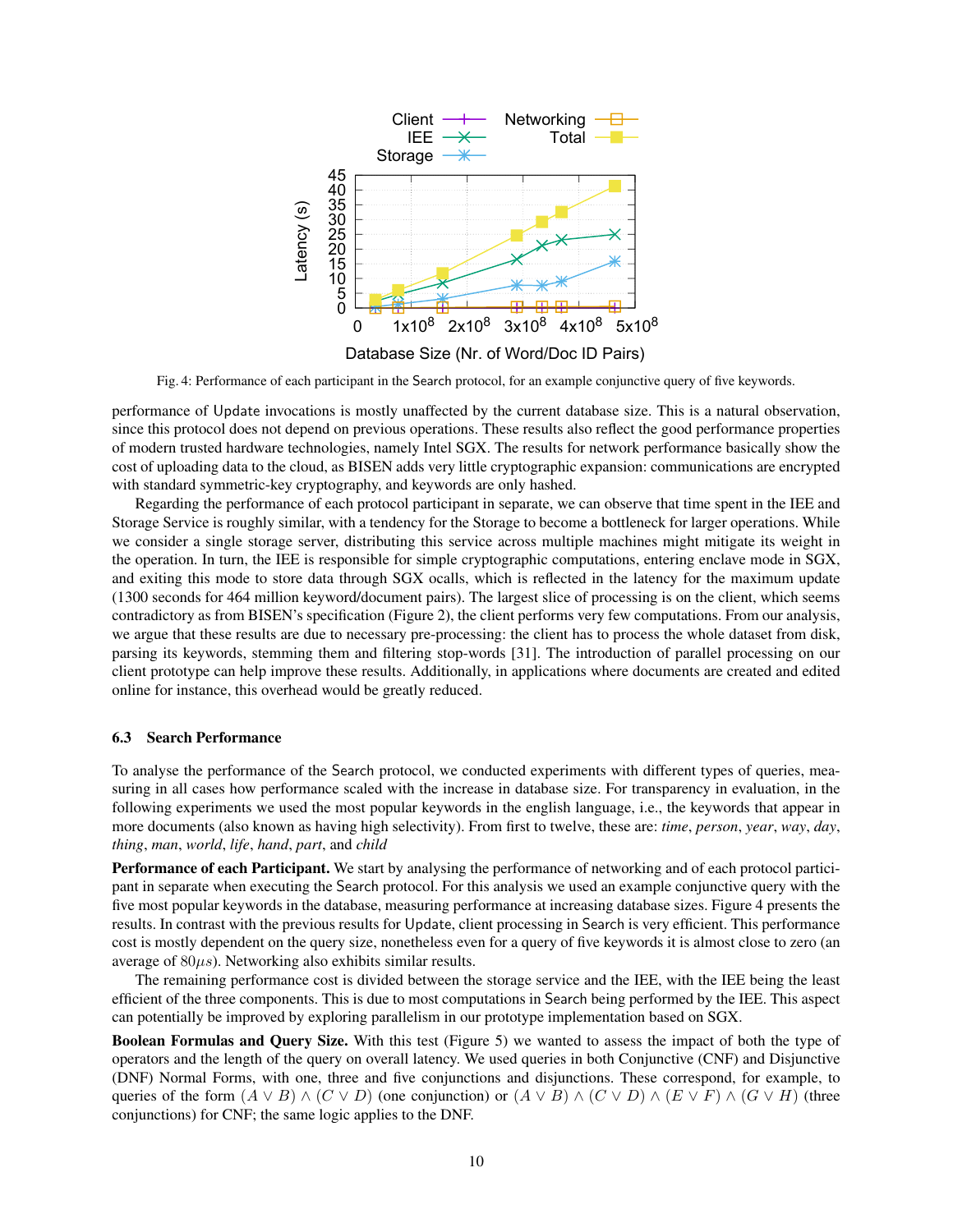

Fig. 4: Performance of each participant in the Search protocol, for an example conjunctive query of five keywords.

performance of Update invocations is mostly unaffected by the current database size. This is a natural observation, since this protocol does not depend on previous operations. These results also reflect the good performance properties of modern trusted hardware technologies, namely Intel SGX. The results for network performance basically show the cost of uploading data to the cloud, as BISEN adds very little cryptographic expansion: communications are encrypted with standard symmetric-key cryptography, and keywords are only hashed.

Regarding the performance of each protocol participant in separate, we can observe that time spent in the IEE and Storage Service is roughly similar, with a tendency for the Storage to become a bottleneck for larger operations. While we consider a single storage server, distributing this service across multiple machines might mitigate its weight in the operation. In turn, the IEE is responsible for simple cryptographic computations, entering enclave mode in SGX, and exiting this mode to store data through SGX ocalls, which is reflected in the latency for the maximum update (1300 seconds for 464 million keyword/document pairs). The largest slice of processing is on the client, which seems contradictory as from BISEN's specification (Figure 2), the client performs very few computations. From our analysis, we argue that these results are due to necessary pre-processing: the client has to process the whole dataset from disk, parsing its keywords, stemming them and filtering stop-words [31]. The introduction of parallel processing on our client prototype can help improve these results. Additionally, in applications where documents are created and edited online for instance, this overhead would be greatly reduced.

#### 6.3 Search Performance

To analyse the performance of the Search protocol, we conducted experiments with different types of queries, measuring in all cases how performance scaled with the increase in database size. For transparency in evaluation, in the following experiments we used the most popular keywords in the english language, i.e., the keywords that appear in more documents (also known as having high selectivity). From first to twelve, these are: *time*, *person*, *year*, *way*, *day*, *thing*, *man*, *world*, *life*, *hand*, *part*, and *child*

Performance of each Participant. We start by analysing the performance of networking and of each protocol participant in separate when executing the Search protocol. For this analysis we used an example conjunctive query with the five most popular keywords in the database, measuring performance at increasing database sizes. Figure 4 presents the results. In contrast with the previous results for Update, client processing in Search is very efficient. This performance cost is mostly dependent on the query size, nonetheless even for a query of five keywords it is almost close to zero (an average of  $80\mu s$ ). Networking also exhibits similar results.

The remaining performance cost is divided between the storage service and the IEE, with the IEE being the least efficient of the three components. This is due to most computations in Search being performed by the IEE. This aspect can potentially be improved by exploring parallelism in our prototype implementation based on SGX.

Boolean Formulas and Query Size. With this test (Figure 5) we wanted to assess the impact of both the type of operators and the length of the query on overall latency. We used queries in both Conjunctive (CNF) and Disjunctive (DNF) Normal Forms, with one, three and five conjunctions and disjunctions. These correspond, for example, to queries of the form  $(A \vee B) \wedge (C \vee D)$  (one conjunction) or  $(A \vee B) \wedge (C \vee D) \wedge (E \vee F) \wedge (G \vee H)$  (three conjunctions) for CNF; the same logic applies to the DNF.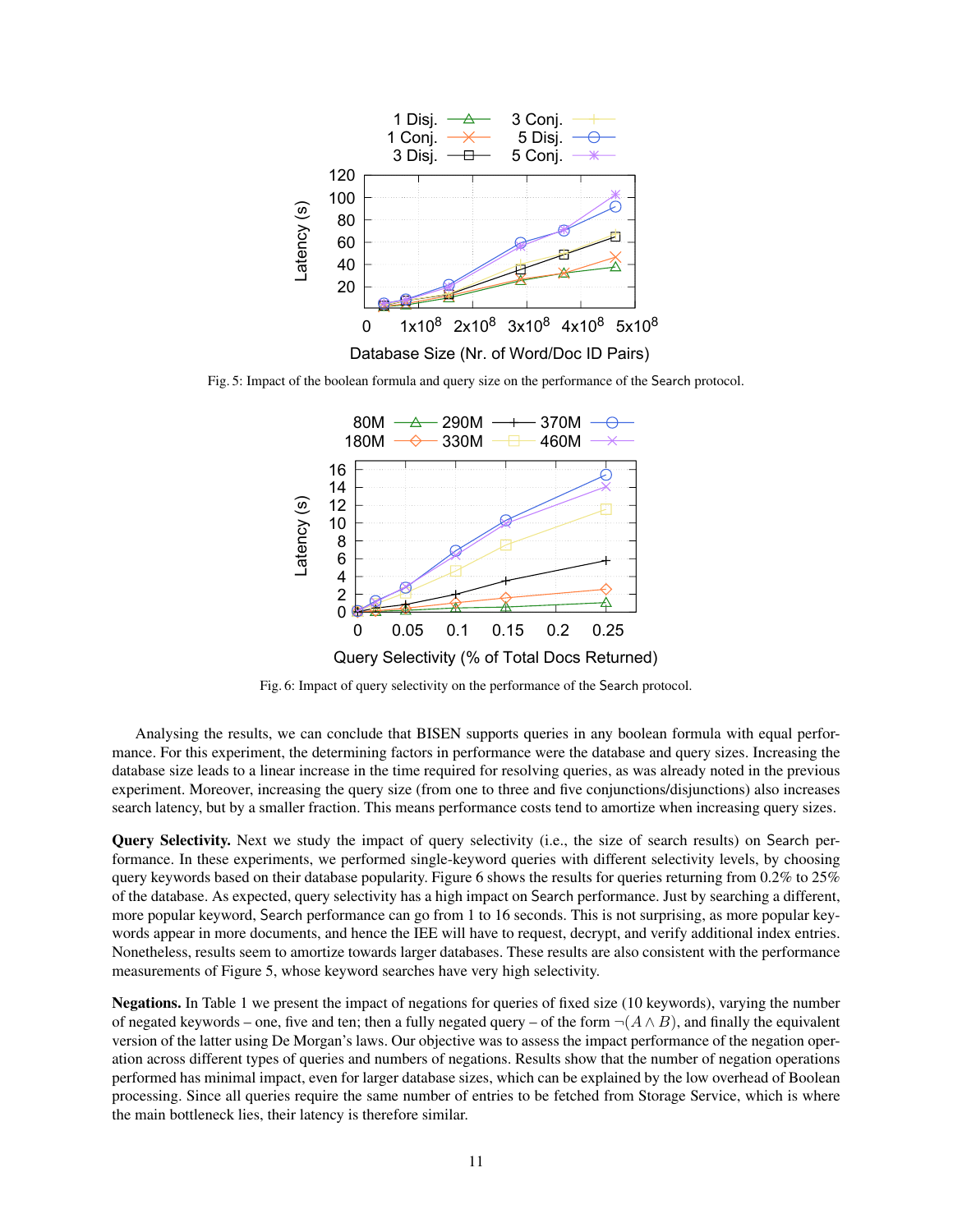

Fig. 5: Impact of the boolean formula and query size on the performance of the Search protocol.



Fig. 6: Impact of query selectivity on the performance of the Search protocol.

Analysing the results, we can conclude that BISEN supports queries in any boolean formula with equal performance. For this experiment, the determining factors in performance were the database and query sizes. Increasing the database size leads to a linear increase in the time required for resolving queries, as was already noted in the previous experiment. Moreover, increasing the query size (from one to three and five conjunctions/disjunctions) also increases search latency, but by a smaller fraction. This means performance costs tend to amortize when increasing query sizes.

Query Selectivity. Next we study the impact of query selectivity (i.e., the size of search results) on Search performance. In these experiments, we performed single-keyword queries with different selectivity levels, by choosing query keywords based on their database popularity. Figure 6 shows the results for queries returning from 0.2% to 25% of the database. As expected, query selectivity has a high impact on Search performance. Just by searching a different, more popular keyword, Search performance can go from 1 to 16 seconds. This is not surprising, as more popular keywords appear in more documents, and hence the IEE will have to request, decrypt, and verify additional index entries. Nonetheless, results seem to amortize towards larger databases. These results are also consistent with the performance measurements of Figure 5, whose keyword searches have very high selectivity.

Negations. In Table 1 we present the impact of negations for queries of fixed size (10 keywords), varying the number of negated keywords – one, five and ten; then a fully negated query – of the form  $\neg(A \wedge B)$ , and finally the equivalent version of the latter using De Morgan's laws. Our objective was to assess the impact performance of the negation operation across different types of queries and numbers of negations. Results show that the number of negation operations performed has minimal impact, even for larger database sizes, which can be explained by the low overhead of Boolean processing. Since all queries require the same number of entries to be fetched from Storage Service, which is where the main bottleneck lies, their latency is therefore similar.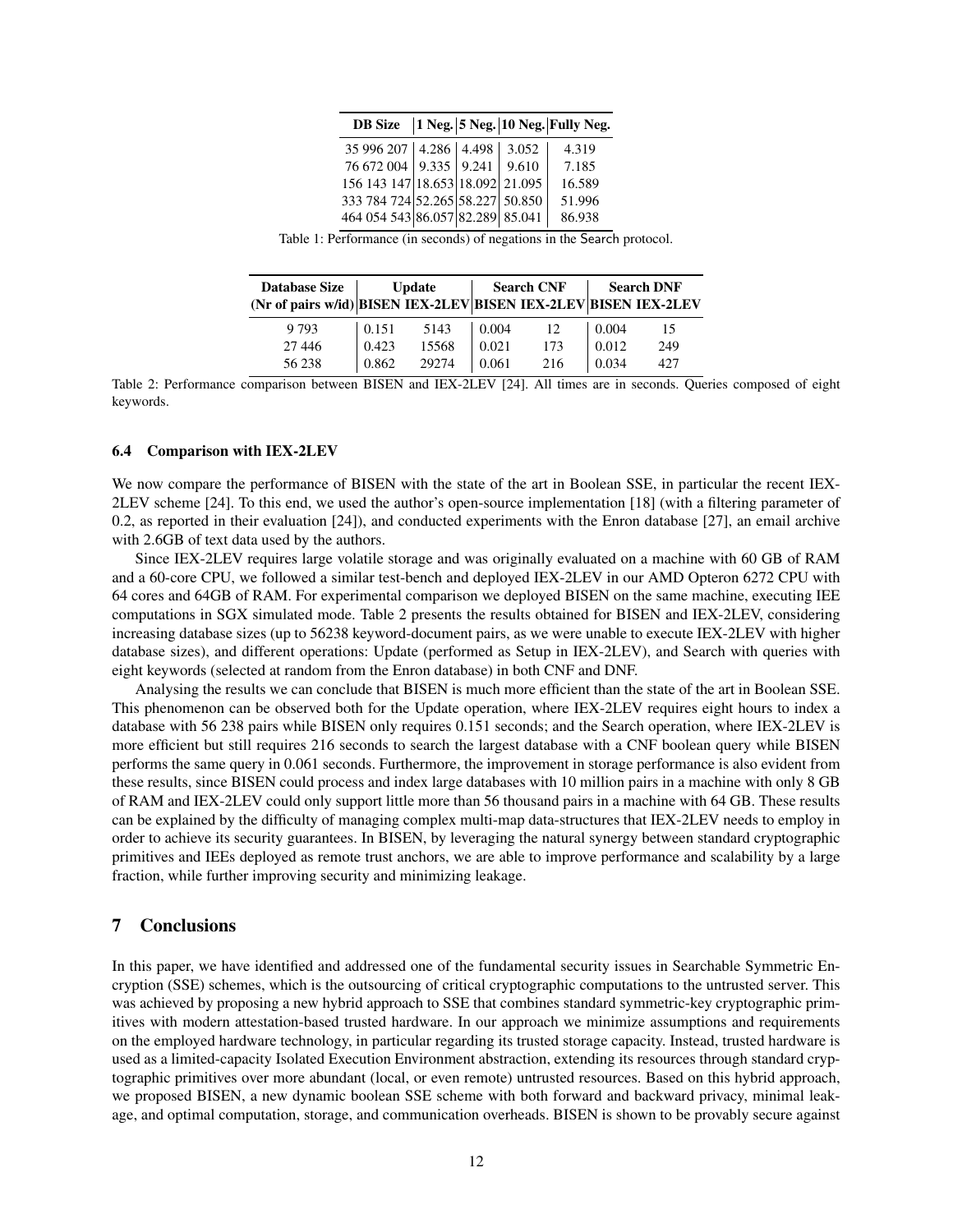|                                    |  |       | DB Size   1 Neg. 5 Neg.   10 Neg.   Fully Neg. |
|------------------------------------|--|-------|------------------------------------------------|
| 35 996 207   4.286   4.498         |  | 3.052 | 4.319                                          |
| 76 672 004   9.335   9.241   9.610 |  |       | 7.185                                          |
| 156 143 147 18.653 18.092 21.095   |  |       | 16.589                                         |
| 333 784 724 52.265 58.227 50.850   |  |       | 51.996                                         |
| 464 054 543 86.057 82.289 85.041   |  |       | 86.938                                         |

Table 1: Performance (in seconds) of negations in the Search protocol.

| <b>Database Size</b><br>(Nr of pairs w/id) BISEN IEX-2LEV BISEN IEX-2LEV BISEN IEX-2LEV |       | <b>Update</b> |       | <b>Search CNF</b> |       | <b>Search DNF</b> |
|-----------------------------------------------------------------------------------------|-------|---------------|-------|-------------------|-------|-------------------|
| 9793                                                                                    | 0.151 | 5143          | 0.004 | 12                | 0.004 | 15                |
| 27 4 4 6                                                                                | 0.423 | 15568         | 0.021 | 173               | 0.012 | 249               |
| 56 238                                                                                  | 0.862 | 29274         | 0.061 | 216               | 0.034 | 427               |

Table 2: Performance comparison between BISEN and IEX-2LEV [24]. All times are in seconds. Queries composed of eight keywords.

#### 6.4 Comparison with IEX-2LEV

We now compare the performance of BISEN with the state of the art in Boolean SSE, in particular the recent IEX-2LEV scheme [24]. To this end, we used the author's open-source implementation [18] (with a filtering parameter of 0.2, as reported in their evaluation [24]), and conducted experiments with the Enron database [27], an email archive with 2.6GB of text data used by the authors.

Since IEX-2LEV requires large volatile storage and was originally evaluated on a machine with 60 GB of RAM and a 60-core CPU, we followed a similar test-bench and deployed IEX-2LEV in our AMD Opteron 6272 CPU with 64 cores and 64GB of RAM. For experimental comparison we deployed BISEN on the same machine, executing IEE computations in SGX simulated mode. Table 2 presents the results obtained for BISEN and IEX-2LEV, considering increasing database sizes (up to 56238 keyword-document pairs, as we were unable to execute IEX-2LEV with higher database sizes), and different operations: Update (performed as Setup in IEX-2LEV), and Search with queries with eight keywords (selected at random from the Enron database) in both CNF and DNF.

Analysing the results we can conclude that BISEN is much more efficient than the state of the art in Boolean SSE. This phenomenon can be observed both for the Update operation, where IEX-2LEV requires eight hours to index a database with 56 238 pairs while BISEN only requires 0.151 seconds; and the Search operation, where IEX-2LEV is more efficient but still requires 216 seconds to search the largest database with a CNF boolean query while BISEN performs the same query in 0.061 seconds. Furthermore, the improvement in storage performance is also evident from these results, since BISEN could process and index large databases with 10 million pairs in a machine with only 8 GB of RAM and IEX-2LEV could only support little more than 56 thousand pairs in a machine with 64 GB. These results can be explained by the difficulty of managing complex multi-map data-structures that IEX-2LEV needs to employ in order to achieve its security guarantees. In BISEN, by leveraging the natural synergy between standard cryptographic primitives and IEEs deployed as remote trust anchors, we are able to improve performance and scalability by a large fraction, while further improving security and minimizing leakage.

# 7 Conclusions

In this paper, we have identified and addressed one of the fundamental security issues in Searchable Symmetric Encryption (SSE) schemes, which is the outsourcing of critical cryptographic computations to the untrusted server. This was achieved by proposing a new hybrid approach to SSE that combines standard symmetric-key cryptographic primitives with modern attestation-based trusted hardware. In our approach we minimize assumptions and requirements on the employed hardware technology, in particular regarding its trusted storage capacity. Instead, trusted hardware is used as a limited-capacity Isolated Execution Environment abstraction, extending its resources through standard cryptographic primitives over more abundant (local, or even remote) untrusted resources. Based on this hybrid approach, we proposed BISEN, a new dynamic boolean SSE scheme with both forward and backward privacy, minimal leakage, and optimal computation, storage, and communication overheads. BISEN is shown to be provably secure against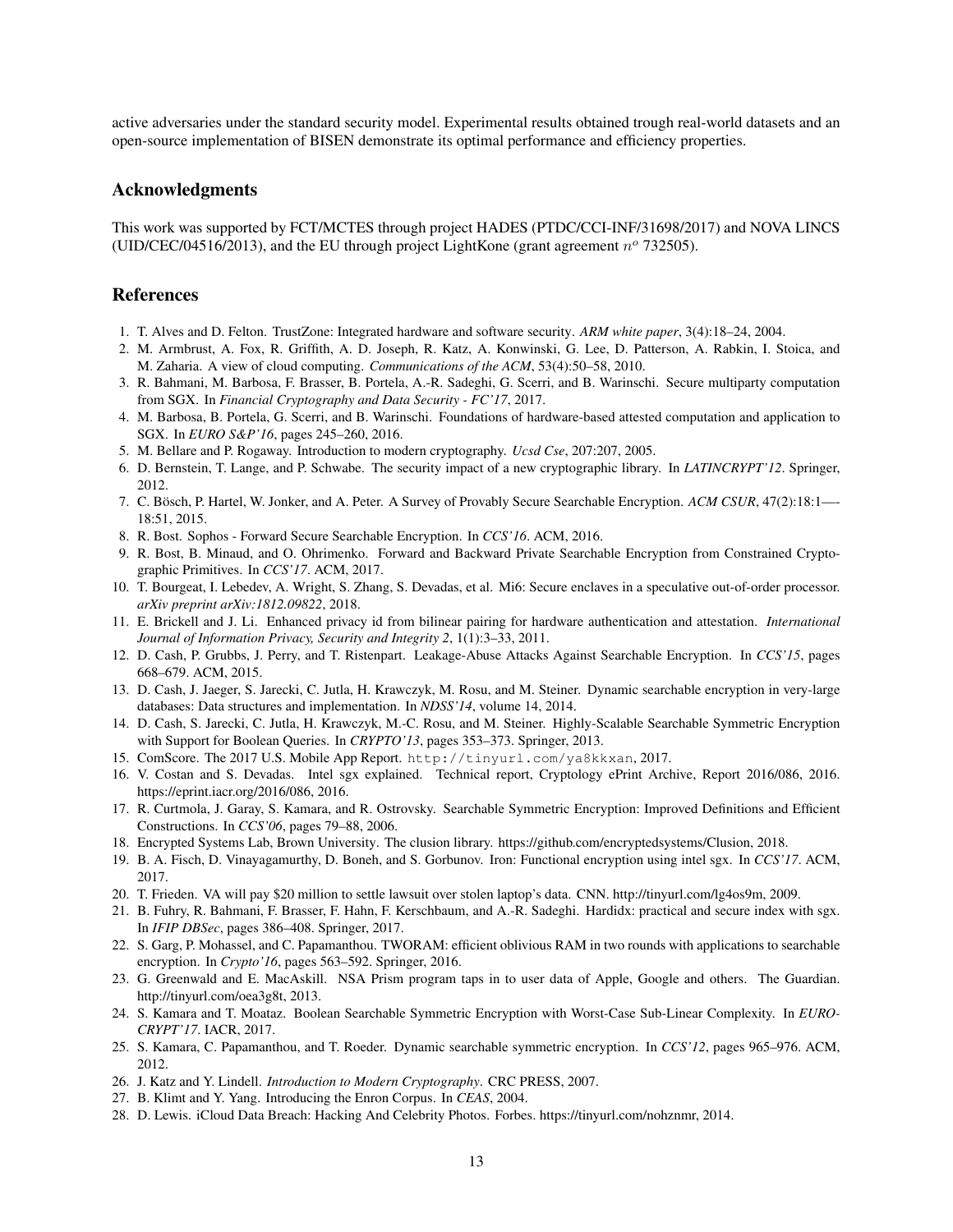active adversaries under the standard security model. Experimental results obtained trough real-world datasets and an open-source implementation of BISEN demonstrate its optimal performance and efficiency properties.

# Acknowledgments

This work was supported by FCT/MCTES through project HADES (PTDC/CCI-INF/31698/2017) and NOVA LINCS (UID/CEC/04516/2013), and the EU through project LightKone (grant agreement  $n^{\circ}$  732505).

## References

- 1. T. Alves and D. Felton. TrustZone: Integrated hardware and software security. *ARM white paper*, 3(4):18–24, 2004.
- 2. M. Armbrust, A. Fox, R. Griffith, A. D. Joseph, R. Katz, A. Konwinski, G. Lee, D. Patterson, A. Rabkin, I. Stoica, and M. Zaharia. A view of cloud computing. *Communications of the ACM*, 53(4):50–58, 2010.
- 3. R. Bahmani, M. Barbosa, F. Brasser, B. Portela, A.-R. Sadeghi, G. Scerri, and B. Warinschi. Secure multiparty computation from SGX. In *Financial Cryptography and Data Security - FC'17*, 2017.
- 4. M. Barbosa, B. Portela, G. Scerri, and B. Warinschi. Foundations of hardware-based attested computation and application to SGX. In *EURO S&P'16*, pages 245–260, 2016.
- 5. M. Bellare and P. Rogaway. Introduction to modern cryptography. *Ucsd Cse*, 207:207, 2005.
- 6. D. Bernstein, T. Lange, and P. Schwabe. The security impact of a new cryptographic library. In *LATINCRYPT'12*. Springer, 2012.
- 7. C. Bösch, P. Hartel, W. Jonker, and A. Peter. A Survey of Provably Secure Searchable Encryption. ACM CSUR, 47(2):18:1—-18:51, 2015.
- 8. R. Bost. Sophos Forward Secure Searchable Encryption. In *CCS'16*. ACM, 2016.
- 9. R. Bost, B. Minaud, and O. Ohrimenko. Forward and Backward Private Searchable Encryption from Constrained Cryptographic Primitives. In *CCS'17*. ACM, 2017.
- 10. T. Bourgeat, I. Lebedev, A. Wright, S. Zhang, S. Devadas, et al. Mi6: Secure enclaves in a speculative out-of-order processor. *arXiv preprint arXiv:1812.09822*, 2018.
- 11. E. Brickell and J. Li. Enhanced privacy id from bilinear pairing for hardware authentication and attestation. *International Journal of Information Privacy, Security and Integrity 2*, 1(1):3–33, 2011.
- 12. D. Cash, P. Grubbs, J. Perry, and T. Ristenpart. Leakage-Abuse Attacks Against Searchable Encryption. In *CCS'15*, pages 668–679. ACM, 2015.
- 13. D. Cash, J. Jaeger, S. Jarecki, C. Jutla, H. Krawczyk, M. Rosu, and M. Steiner. Dynamic searchable encryption in very-large databases: Data structures and implementation. In *NDSS'14*, volume 14, 2014.
- 14. D. Cash, S. Jarecki, C. Jutla, H. Krawczyk, M.-C. Rosu, and M. Steiner. Highly-Scalable Searchable Symmetric Encryption with Support for Boolean Queries. In *CRYPTO'13*, pages 353–373. Springer, 2013.
- 15. ComScore. The 2017 U.S. Mobile App Report. http://tinyurl.com/ya8kkxan, 2017.
- 16. V. Costan and S. Devadas. Intel sgx explained. Technical report, Cryptology ePrint Archive, Report 2016/086, 2016. https://eprint.iacr.org/2016/086, 2016.
- 17. R. Curtmola, J. Garay, S. Kamara, and R. Ostrovsky. Searchable Symmetric Encryption: Improved Definitions and Efficient Constructions. In *CCS'06*, pages 79–88, 2006.
- 18. Encrypted Systems Lab, Brown University. The clusion library. https://github.com/encryptedsystems/Clusion, 2018.
- 19. B. A. Fisch, D. Vinayagamurthy, D. Boneh, and S. Gorbunov. Iron: Functional encryption using intel sgx. In *CCS'17*. ACM, 2017.
- 20. T. Frieden. VA will pay \$20 million to settle lawsuit over stolen laptop's data. CNN. http://tinyurl.com/lg4os9m, 2009.
- 21. B. Fuhry, R. Bahmani, F. Brasser, F. Hahn, F. Kerschbaum, and A.-R. Sadeghi. Hardidx: practical and secure index with sgx. In *IFIP DBSec*, pages 386–408. Springer, 2017.
- 22. S. Garg, P. Mohassel, and C. Papamanthou. TWORAM: efficient oblivious RAM in two rounds with applications to searchable encryption. In *Crypto'16*, pages 563–592. Springer, 2016.
- 23. G. Greenwald and E. MacAskill. NSA Prism program taps in to user data of Apple, Google and others. The Guardian. http://tinyurl.com/oea3g8t, 2013.
- 24. S. Kamara and T. Moataz. Boolean Searchable Symmetric Encryption with Worst-Case Sub-Linear Complexity. In *EURO-CRYPT'17*. IACR, 2017.
- 25. S. Kamara, C. Papamanthou, and T. Roeder. Dynamic searchable symmetric encryption. In *CCS'12*, pages 965–976. ACM, 2012.
- 26. J. Katz and Y. Lindell. *Introduction to Modern Cryptography*. CRC PRESS, 2007.
- 27. B. Klimt and Y. Yang. Introducing the Enron Corpus. In *CEAS*, 2004.
- 28. D. Lewis. iCloud Data Breach: Hacking And Celebrity Photos. Forbes. https://tinyurl.com/nohznmr, 2014.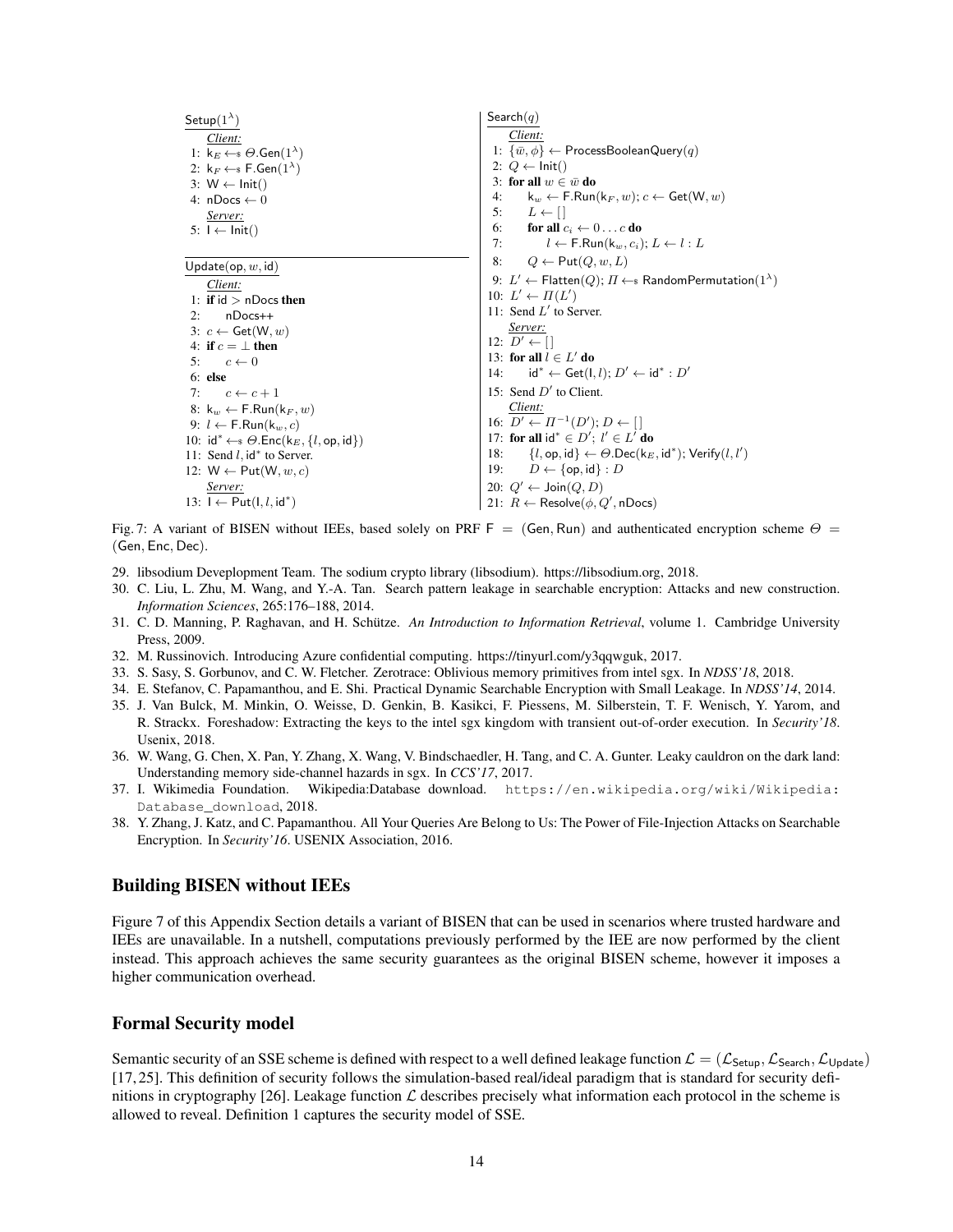| Setup $(1^{\lambda})$                                       | Search $(q)$                                                                                           |
|-------------------------------------------------------------|--------------------------------------------------------------------------------------------------------|
| Client:                                                     | Client:                                                                                                |
| 1: $k_E \leftarrow \in \Theta$ . Gen $(1^{\lambda})$        | 1: $\{\bar{w}, \phi\} \leftarrow$ ProcessBooleanQuery $(q)$                                            |
| 2: $k_F \leftarrow s$ F. Gen $(1^{\lambda})$                | 2: $Q \leftarrow \text{Init}()$                                                                        |
| $3: W \leftarrow \text{Init}()$                             | 3: for all $w \in \bar{w}$ do                                                                          |
| 4: $n\text{Docs} \leftarrow 0$                              | 4: $\mathsf{k}_w \leftarrow \mathsf{F.Run}(\mathsf{k}_F,w); c \leftarrow \mathsf{Get}(\mathsf{W},w)$   |
| Server:                                                     | 5: $L \leftarrow   $                                                                                   |
| 5: I ← Init()                                               | 6: for all $c_i \leftarrow 0 \dots c$ do                                                               |
|                                                             | 7: $l \leftarrow \mathsf{F.Run}(\mathsf{k}_w, c_i); L \leftarrow l : L$                                |
| Update $(op, w, id)$                                        | 8: $Q \leftarrow \text{Put}(Q, w, L)$                                                                  |
| Client:                                                     | 9: $L' \leftarrow$ Flatten(Q); $\Pi \leftarrow$ Random Permutation(1 <sup><math>\lambda</math></sup> ) |
| 1: if $id > n$ Docs then                                    | 10: $L' \leftarrow \Pi(L')$                                                                            |
| $n$ Docs $++$<br>2:                                         | 11: Send $L'$ to Server.                                                                               |
| 3: $c \leftarrow$ Get(W, w)                                 | Server:                                                                                                |
| 4: if $c = \perp$ then                                      | 12: $D' \leftarrow \lceil \rceil$                                                                      |
| 5: $c \leftarrow 0$                                         | 13: for all $l \in L'$ do                                                                              |
| $6:$ else                                                   | 14: $id^* \leftarrow Get(l, l); D' \leftarrow id^* : D'$                                               |
| 7: $c \leftarrow c + 1$                                     | 15: Send $D'$ to Client.                                                                               |
| 8: $k_w \leftarrow F.Run(k_F, w)$                           | Client:                                                                                                |
| 9: $l \leftarrow F.Run(k_w, c)$                             | 16: $D' \leftarrow \Pi^{-1}(D')$ ; $D \leftarrow [$                                                    |
| 10: $id^* \leftarrow s \Theta$ . Enc $(k_E, \{l, op, id\})$ | 17: for all $\mathrm{id}^* \in D'$ ; $l' \in L'$ do                                                    |
| 11: Send $l$ , id* to Server.                               | 18: $\{l, op, id\} \leftarrow \Theta \cdot \text{Dec}(k_E, id^*)$ ; Verify $(l, l')$                   |
| 12: $W \leftarrow \text{Put}(W, w, c)$                      | 19: $D \leftarrow \{\textsf{op}, \textsf{id}\} : D$                                                    |
| Server:                                                     | 20: $Q' \leftarrow \text{Join}(Q, D)$                                                                  |
| 13: $I \leftarrow \text{Put}(I, l, id^*)$                   | 21: $R \leftarrow$ Resolve $(\phi, Q', n$ Docs)                                                        |

Fig. 7: A variant of BISEN without IEEs, based solely on PRF  $F = (Gen, Run)$  and authenticated encryption scheme  $\Theta =$ (Gen, Enc, Dec).

- 29. libsodium Deveplopment Team. The sodium crypto library (libsodium). https://libsodium.org, 2018.
- 30. C. Liu, L. Zhu, M. Wang, and Y.-A. Tan. Search pattern leakage in searchable encryption: Attacks and new construction. *Information Sciences*, 265:176–188, 2014.
- 31. C. D. Manning, P. Raghavan, and H. Schütze. An Introduction to Information Retrieval, volume 1. Cambridge University Press, 2009.
- 32. M. Russinovich. Introducing Azure confidential computing. https://tinyurl.com/y3qqwguk, 2017.
- 33. S. Sasy, S. Gorbunov, and C. W. Fletcher. Zerotrace: Oblivious memory primitives from intel sgx. In *NDSS'18*, 2018.
- 34. E. Stefanov, C. Papamanthou, and E. Shi. Practical Dynamic Searchable Encryption with Small Leakage. In *NDSS'14*, 2014.
- 35. J. Van Bulck, M. Minkin, O. Weisse, D. Genkin, B. Kasikci, F. Piessens, M. Silberstein, T. F. Wenisch, Y. Yarom, and R. Strackx. Foreshadow: Extracting the keys to the intel sgx kingdom with transient out-of-order execution. In *Security'18*. Usenix, 2018.
- 36. W. Wang, G. Chen, X. Pan, Y. Zhang, X. Wang, V. Bindschaedler, H. Tang, and C. A. Gunter. Leaky cauldron on the dark land: Understanding memory side-channel hazards in sgx. In *CCS'17*, 2017.
- 37. I. Wikimedia Foundation. Wikipedia:Database download. https://en.wikipedia.org/wiki/Wikipedia: Database download, 2018.
- 38. Y. Zhang, J. Katz, and C. Papamanthou. All Your Queries Are Belong to Us: The Power of File-Injection Attacks on Searchable Encryption. In *Security'16*. USENIX Association, 2016.

# Building BISEN without IEEs

Figure 7 of this Appendix Section details a variant of BISEN that can be used in scenarios where trusted hardware and IEEs are unavailable. In a nutshell, computations previously performed by the IEE are now performed by the client instead. This approach achieves the same security guarantees as the original BISEN scheme, however it imposes a higher communication overhead.

## Formal Security model

Semantic security of an SSE scheme is defined with respect to a well defined leakage function  $\mathcal{L} = (\mathcal{L}_{\text{Setup}}, \mathcal{L}_{\text{Search}}, \mathcal{L}_{\text{Update}})$ [17, 25]. This definition of security follows the simulation-based real/ideal paradigm that is standard for security definitions in cryptography [26]. Leakage function  $\mathcal L$  describes precisely what information each protocol in the scheme is allowed to reveal. Definition 1 captures the security model of SSE.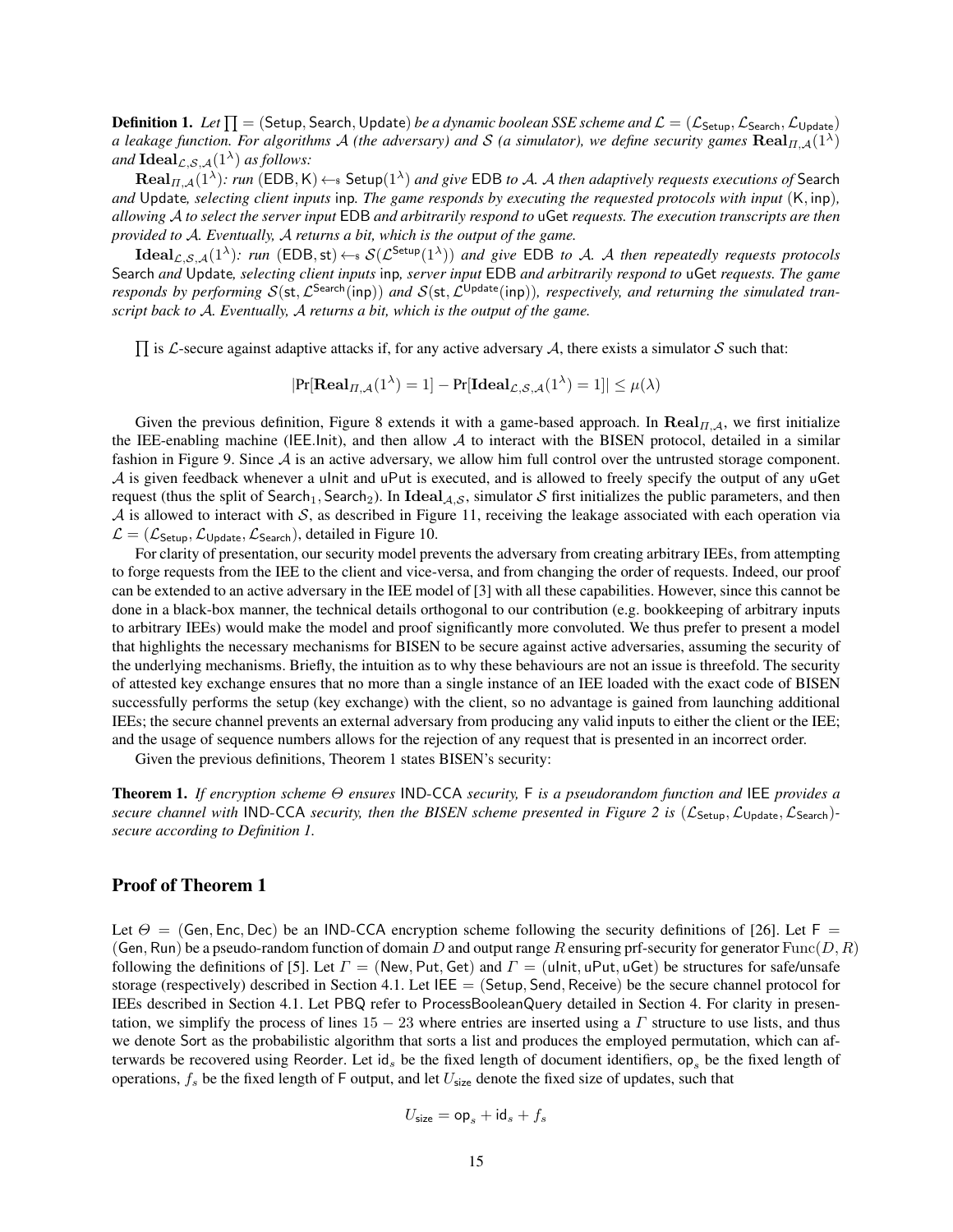$\bf{Definition 1.}$   $Let \prod = (\sf{Setup},\sf{Search},\sf{Update})$   $be$   $a$  dynamic  $boolean$   $SSE$   $scheme$  and  $\mathcal{L} = (\mathcal{L}_{\sf{Setup}},\mathcal{L}_{\sf{Search}},\mathcal{L}_{\sf{Update}})$ *a leakage function. For algorithms A (the adversary) and S (a simulator), we define security games*  $\textbf{Real}_{\Pi,\mathcal{A}}(1^{\lambda})$ and  $\text{Ideal}_{\mathcal{L},\mathcal{S},\mathcal{A}}(1^{\lambda})$  *as follows:* 

 $\textbf{Real}_{\Pi,\mathcal{A}}(1^{\lambda})$ : run (EDB, K)  $\leftarrow$  s Setup( $1^{\lambda}$ ) and give EDB to A. A then adaptively requests executions of Search *and* Update*, selecting client inputs* inp*. The game responds by executing the requested protocols with input* (K, inp)*, allowing* A *to select the server input* EDB *and arbitrarily respond to* uGet *requests. The execution transcripts are then provided to* A*. Eventually,* A *returns a bit, which is the output of the game.*

 $\text{Ideal}_{\mathcal{L},\mathcal{S},\mathcal{A}}(1^{\lambda})$ : run (EDB, st)  $\leftarrow$  s  $\mathcal{S}(\mathcal{L}^{\text{Setup}}(1^{\lambda}))$  and give EDB to A. A then repeatedly requests protocols Search *and* Update*, selecting client inputs* inp*, server input* EDB *and arbitrarily respond to* uGet *requests. The game responds by performing*  $S(\text{st}, \mathcal{L}^{\text{Search}}(\text{inp}))$  and  $S(\text{st}, \mathcal{L}^{\text{Update}}(\text{inp})),$  respectively, and returning the simulated tran*script back to* A*. Eventually,* A *returns a bit, which is the output of the game.*

 $\prod$  is *L*-secure against adaptive attacks if, for any active adversary *A*, there exists a simulator *S* such that:

$$
\left|\Pr[\mathbf{Real}_{\varPi,\mathcal{A}}(1^{\lambda})=1]-\Pr[\mathbf{Ideal}_{\mathcal{L},\mathcal{S},\mathcal{A}}(1^{\lambda})=1]\right|\leq\mu(\lambda)
$$

Given the previous definition, Figure 8 extends it with a game-based approach. In  $\text{Real}_{\Pi,A}$ , we first initialize the IEE-enabling machine (IEE.Init), and then allow  $A$  to interact with the BISEN protocol, detailed in a similar fashion in Figure 9. Since  $\mathcal A$  is an active adversary, we allow him full control over the untrusted storage component.  $\mathcal A$  is given feedback whenever a ulnit and uPut is executed, and is allowed to freely specify the output of any uGet request (thus the split of Search<sub>1</sub>, Search<sub>2</sub>). In Ideal<sub>A,S</sub>, simulator S first initializes the public parameters, and then  $\mathcal A$  is allowed to interact with  $\mathcal S$ , as described in Figure 11, receiving the leakage associated with each operation via  $\mathcal{L} = (\mathcal{L}_{\mathsf{Setup}}, \mathcal{L}_{\mathsf{Update}}, \mathcal{L}_{\mathsf{Search}})$ , detailed in Figure 10.

For clarity of presentation, our security model prevents the adversary from creating arbitrary IEEs, from attempting to forge requests from the IEE to the client and vice-versa, and from changing the order of requests. Indeed, our proof can be extended to an active adversary in the IEE model of [3] with all these capabilities. However, since this cannot be done in a black-box manner, the technical details orthogonal to our contribution (e.g. bookkeeping of arbitrary inputs to arbitrary IEEs) would make the model and proof significantly more convoluted. We thus prefer to present a model that highlights the necessary mechanisms for BISEN to be secure against active adversaries, assuming the security of the underlying mechanisms. Briefly, the intuition as to why these behaviours are not an issue is threefold. The security of attested key exchange ensures that no more than a single instance of an IEE loaded with the exact code of BISEN successfully performs the setup (key exchange) with the client, so no advantage is gained from launching additional IEEs; the secure channel prevents an external adversary from producing any valid inputs to either the client or the IEE; and the usage of sequence numbers allows for the rejection of any request that is presented in an incorrect order.

Given the previous definitions, Theorem 1 states BISEN's security:

Theorem 1. *If encryption scheme* Θ *ensures* IND-CCA *security,* F *is a pseudorandom function and* IEE *provides a secure channel with* IND-CCA *security, then the BISEN scheme presented in Figure 2 is* ( $\mathcal{L}_{\text{Setup}}, \mathcal{L}_{\text{Update}}, \mathcal{L}_{\text{Search}}$ )*secure according to Definition 1.*

## Proof of Theorem 1

Let  $\Theta = (Gen, Enc, Dec)$  be an IND-CCA encryption scheme following the security definitions of [26]. Let  $F =$ (Gen, Run) be a pseudo-random function of domain D and output range R ensuring prf-security for generator  $Func(D, R)$ following the definitions of [5]. Let  $\Gamma = (New, Put, Get)$  and  $\Gamma = (ulnit, uPut, uGet)$  be structures for safe/unsafe storage (respectively) described in Section 4.1. Let  $IEE = (Setup, Send, Receiver)$  be the secure channel protocol for IEEs described in Section 4.1. Let PBQ refer to ProcessBooleanQuery detailed in Section 4. For clarity in presentation, we simplify the process of lines  $15 - 23$  where entries are inserted using a  $\Gamma$  structure to use lists, and thus we denote Sort as the probabilistic algorithm that sorts a list and produces the employed permutation, which can afterwards be recovered using Reorder. Let id<sub>s</sub> be the fixed length of document identifiers,  $op_s$  be the fixed length of operations,  $f_s$  be the fixed length of F output, and let  $U_{size}$  denote the fixed size of updates, such that

$$
U_{\rm size} = \mathsf{op}_s + \mathsf{id}_s + f_s
$$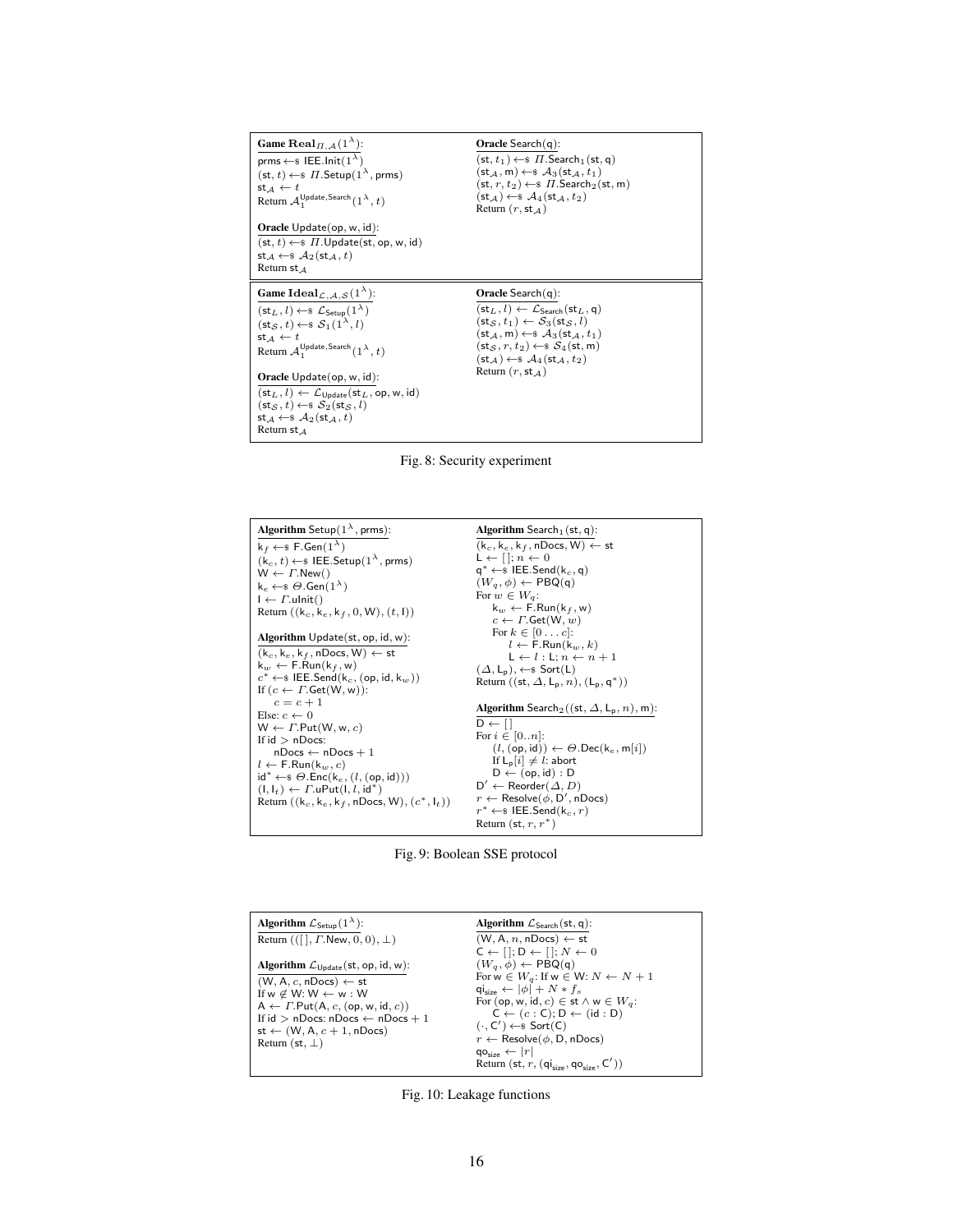| Game Real <sub><math>\Pi, \mathcal{A}(1^{\lambda})</math>:</sub><br>prms $\leftarrow$ <b>S</b> IEE.Init $(1^{\lambda})$<br>$(st, t) \leftarrow s \Pi$ . Setup $(1^{\lambda}, \text{prms})$<br>$\mathsf{st}_{\mathcal{A}} \leftarrow t$<br>Return $A_1^{\text{Update}, \text{Search}}(1^{\lambda}, t)$<br><b>Oracle</b> $Update(op, w, id)$ : | Oracle Search $(q)$ :<br>$(st, t_1) \leftarrow s \Pi$ . Search <sub>1</sub> $(st, q)$<br>$(\mathsf{st}_{\mathcal{A}}, \mathsf{m}) \leftarrow \mathsf{s} \mathcal{A}_3(\mathsf{st}_{\mathcal{A}}, t_1)$<br>$(\mathsf{st}, r, t_2) \leftarrow \$ $\Pi$ . Search $_2(\mathsf{st}, \mathsf{m})$<br>$(\mathsf{st}_{\mathcal{A}}) \leftarrow \mathsf{\$} \mathcal{A}_4(\mathsf{st}_{\mathcal{A}}, t_2)$<br>Return $(r, st_A)$                           |
|----------------------------------------------------------------------------------------------------------------------------------------------------------------------------------------------------------------------------------------------------------------------------------------------------------------------------------------------|---------------------------------------------------------------------------------------------------------------------------------------------------------------------------------------------------------------------------------------------------------------------------------------------------------------------------------------------------------------------------------------------------------------------------------------------------|
| $(st, t) \leftarrow s \Pi$ . Update(st, op, w, id)<br>$st_A \leftarrow \; A_2(st_A, t)$<br>Return st $\Delta$                                                                                                                                                                                                                                |                                                                                                                                                                                                                                                                                                                                                                                                                                                   |
| <b>Game Ideal</b> $c_{\mathcal{A},\mathcal{S}}(1^{\lambda})$ :<br>$(\mathsf{st}_L, l) \leftarrow \mathsf{s} \mathcal{L}_{\mathsf{Setup}}(1^{\lambda})$<br>$(st,s,t) \leftarrow s S_1(1^{\lambda},l)$<br>st $\Delta t \leftarrow t$<br>Return $A_1^{\text{Update}, \text{Search}}(1^{\lambda}, t)$                                            | <b>Oracle</b> Search $(q)$ :<br>$(\mathsf{st}_L, l) \leftarrow \mathcal{L}_{\mathsf{Search}}(\mathsf{st}_L, \mathsf{q})$<br>$(\mathsf{st}_S, t_1) \leftarrow \mathcal{S}_3(\mathsf{st}_S, l)$<br>$(\mathsf{st}_4, \mathsf{m}) \leftarrow \mathsf{s} \mathcal{A}_3(\mathsf{st}_4, t_1)$<br>$(\mathsf{st}_S, r, t_2) \leftarrow \mathsf{S} \mathcal{S}_4(\mathsf{st}, \mathsf{m})$<br>$(\mathsf{st}_4) \leftarrow \mathsf{A}_4(\mathsf{st}_4, t_2)$ |
| <b>Oracle</b> $Update(op, w, id)$ :<br>$(\mathsf{st}_L, l) \leftarrow \mathcal{L}_{\mathsf{Update}}(\mathsf{st}_L, \mathsf{op}, \mathsf{w}, \mathsf{id})$<br>$(\mathsf{st}_S, t) \leftarrow \mathsf{s} S_2(\mathsf{st}_S, l)$<br>$st_A \leftarrow \; A_2(st_A, t)$                                                                           | Return $(r, st_A)$                                                                                                                                                                                                                                                                                                                                                                                                                                |

Fig. 8: Security experiment

| <b>Algorithm</b> Setup $(1^{\lambda}, \text{prms})$ :                                                 | <b>Algorithm</b> Search <sub>1</sub> (st, q):                                          |
|-------------------------------------------------------------------------------------------------------|----------------------------------------------------------------------------------------|
| $k_f \leftarrow s$ F. Gen $(1^{\lambda})$                                                             | $(k_c, k_e, k_f, n$ Docs, W) $\leftarrow$ st                                           |
| $(k_c, t) \leftarrow$ IEE. Setup $(1^{\lambda}, \text{prms})$                                         | $L \leftarrow \lceil \cdot \rceil$ ; $n \leftarrow 0$                                  |
| $W \leftarrow \Gamma$ . New()                                                                         | $q^* \leftarrow s$ IEE.Send( $k_c$ , q)                                                |
| $k_e \leftarrow \$ \Theta \cdot Gen(1^{\lambda})$                                                     | $(W_a, \phi) \leftarrow \text{PBO}(q)$                                                 |
| $I \leftarrow \Gamma$ ulnit()                                                                         | For $w \in W_a$ :                                                                      |
| Return $((k_c, k_e, k_f, 0, W), (t, I))$                                                              | $k_w \leftarrow F.Run(k_f, w)$                                                         |
|                                                                                                       | $c \leftarrow \Gamma$ . Get $(W, w)$                                                   |
| Algorithm $Update(st, op, id, w)$ :                                                                   | For $k \in [0 \dots c]$ :                                                              |
| $(k_c, k_e, k_f, n$ Docs, W) $\leftarrow$ st                                                          | $l \leftarrow F.Run(k_w, k)$<br>$L \leftarrow l : L : n \leftarrow n + 1$              |
| $k_w \leftarrow F.Run(k_f, w)$                                                                        | $(\Delta, L_{\rm p}), \leftarrow$ Sort $(L)$                                           |
| $c^* \leftarrow$ IEE.Send(k <sub>c</sub> , (op, id, k <sub>w</sub> ))                                 | Return $((st, \Delta, L_n, n), (L_n, q^*))$                                            |
| If $(c \leftarrow \Gamma$ . Get $(W, w)$ :                                                            |                                                                                        |
| $c=c+1$                                                                                               | <b>Algorithm</b> Search <sub>2</sub> ((st, $\Delta$ , L <sub>p</sub> , <i>n</i> ), m): |
| Else: $c \leftarrow 0$                                                                                | $D \leftarrow   $                                                                      |
| $W \leftarrow \Gamma$ .Put $(W, w, c)$                                                                | For $i \in [0n]$ :                                                                     |
| If $id > n$ Docs:                                                                                     | $(l, (op, id)) \leftarrow \Theta \cdot \text{Dec}(k_e, m[i])$                          |
| $n$ Docs $\leftarrow$ nDocs $+1$                                                                      | If $L_p[i] \neq l$ : abort                                                             |
| $l \leftarrow$ F.Run( $k_w, c$ )<br>$id^* \leftarrow \mathcal{B} \Theta$ . Enc $(k_e, (l, (op, id)))$ | $D \leftarrow (op, id) : D$                                                            |
| $(l, l_t) \leftarrow \Gamma$ .uPut $(l, l, id^*)$                                                     | $D' \leftarrow \text{Reorder}(\Delta, D)$                                              |
| Return $((k_c, k_e, k_f, n \text{Docs}, W), (c^*, l_t))$                                              | $r \leftarrow$ Resolve $(\phi, D', n$ Docs)                                            |
|                                                                                                       | $r^* \leftarrow \$$ IEE.Send(k <sub>c</sub> , r)                                       |
|                                                                                                       | Return (st, $r, r^*$ )                                                                 |

Fig. 9: Boolean SSE protocol

| <b>Algorithm</b> $\mathcal{L}_{\mathsf{Setup}}(1^{\lambda})$ :                                                                                                                                                                                                                                                                                       | <b>Algorithm</b> $\mathcal{L}_{\mathsf{Search}}(\mathsf{st}, \mathsf{q})$ :                                                                                                                                                                                                                                                                                                                                                                                                                                                                                    |
|------------------------------------------------------------------------------------------------------------------------------------------------------------------------------------------------------------------------------------------------------------------------------------------------------------------------------------------------------|----------------------------------------------------------------------------------------------------------------------------------------------------------------------------------------------------------------------------------------------------------------------------------------------------------------------------------------------------------------------------------------------------------------------------------------------------------------------------------------------------------------------------------------------------------------|
| Return $(([] , \Gamma. \text{New}, 0, 0), \perp)$                                                                                                                                                                                                                                                                                                    | $(W, A, n, n$ Docs) $\leftarrow$ st                                                                                                                                                                                                                                                                                                                                                                                                                                                                                                                            |
| <b>Algorithm</b> $\mathcal{L}_{\text{Update}}(\text{st}, \text{op}, \text{id}, \text{w})$ :<br>$(W, A, c, n$ Docs $) \leftarrow st$<br>If $w \notin W: W \leftarrow w : W$<br>$A \leftarrow \Gamma$ . Put $(A, c, (op, w, id, c))$<br>If id > nDocs: nDocs $\leftarrow$ nDocs + 1<br>st $\leftarrow$ (W, A, $c + 1$ , nDocs)<br>Return $(st, \perp)$ | $C \leftarrow \lceil \cdot \rceil$ ; $D \leftarrow \lceil \cdot \rceil$ ; $N \leftarrow 0$<br>$(W_a, \phi) \leftarrow \text{PBQ}(q)$<br>For $w \in W_a$ : If $w \in W: N \leftarrow N + 1$<br>$\mathsf{q} \mathsf{i}_{\text{size}} \leftarrow  \phi  + N * f_s$<br>For (op, w, id, c) $\in$ st $\wedge$ w $\in$ $W_a$ :<br>$C \leftarrow (c : C); D \leftarrow (id : D)$<br>$(\cdot, C') \leftarrow$ Sort $(C)$<br>$r \leftarrow$ Resolve( $\phi$ , D, nDocs)<br>$\mathsf{qo}_{\mathsf{size}} \leftarrow  r $<br>Return (st, r, $(qi_{size}, qo_{size}, C')$ ) |

Fig. 10: Leakage functions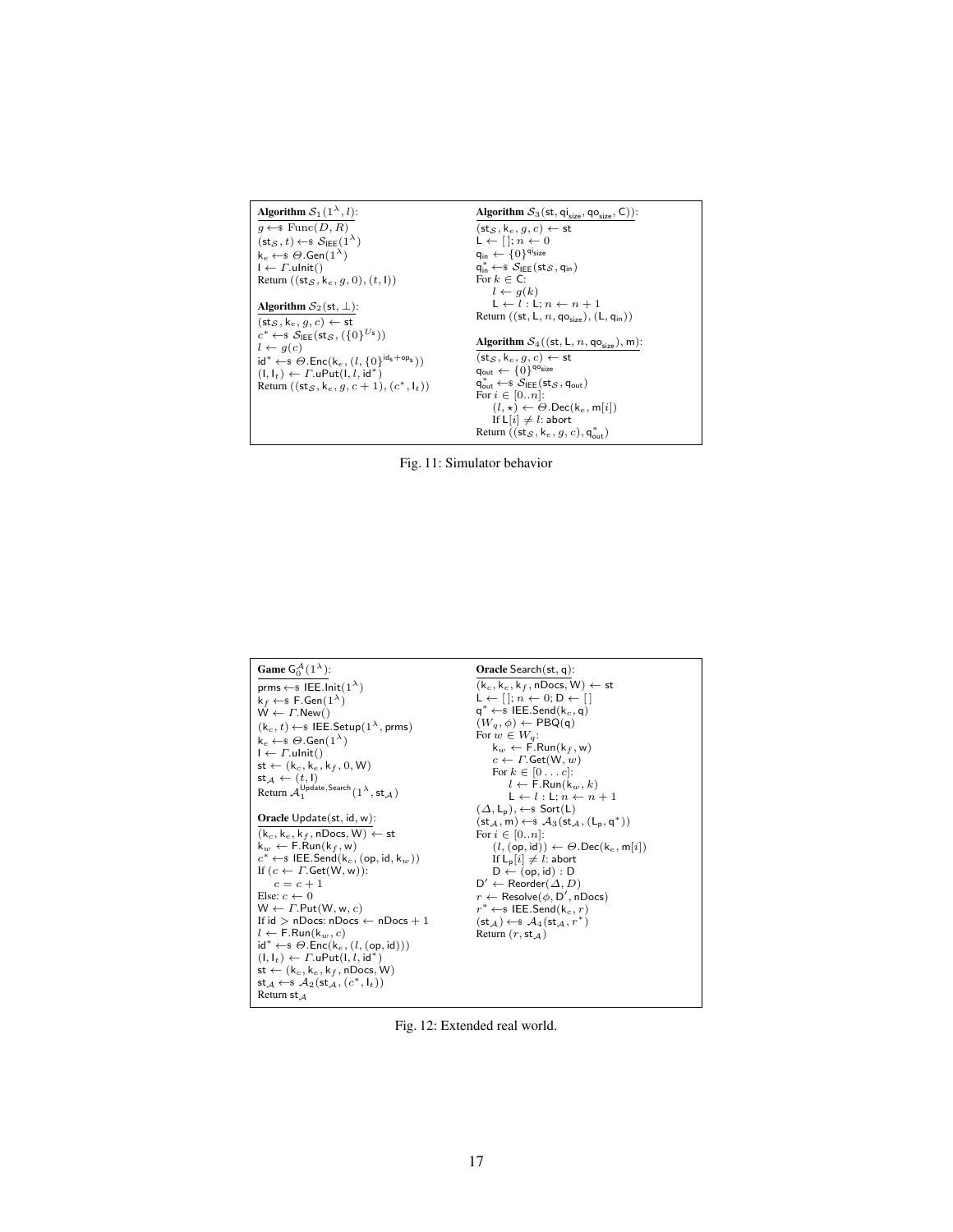| <b>Algorithm</b> $S_1(1^{\lambda}, l)$ :                                                        | <b>Algorithm</b> $S_3$ (st, qi <sub>size</sub> , qo <sub>size</sub> , C)):          |
|-------------------------------------------------------------------------------------------------|-------------------------------------------------------------------------------------|
| $q \leftarrow \$ \text{Func}(D, R)$                                                             | $(st_{\mathcal{S}}, k_{\mathcal{E}}, q, c) \leftarrow st$                           |
| $(\mathsf{st}_{\mathcal{S}}, t) \leftarrow \mathsf{s} \mathcal{S}_{\mathsf{IEEE}}(1^{\lambda})$ | $L \leftarrow \mid \mid: n \leftarrow 0$                                            |
| $k_e \leftarrow s \Theta$ . Gen $(1^{\lambda})$                                                 | $q_{in} \leftarrow \{0\}^{q_{size}}$                                                |
| $I \leftarrow \Gamma$ ulnit()                                                                   | $q_{in}^* \leftarrow \$ \mathcal{S}_{IFF}(st_S, q_{in})$                            |
| Return $((st_S, k_e, q, 0), (t, l))$                                                            | For $k \in \mathbb{C}$ :                                                            |
|                                                                                                 | $l \leftarrow q(k)$                                                                 |
| <b>Algorithm</b> $S_2(\text{st}, \perp)$ :                                                      | $L \leftarrow l : L : n \leftarrow n + 1$                                           |
| $(\mathsf{st}_{\mathcal{S}}, k_e, q, c) \leftarrow \mathsf{st}$                                 | Return $((st, L, n, qo_{\text{max}}), (L, q_{\text{in}}))$                          |
| $c^* \leftarrow \mathcal{S}_{\text{IEF}}(\text{st}_S, (\{0\}^{U_{\text{S}}}))$                  |                                                                                     |
| $l \leftarrow q(c)$                                                                             | <b>Algorithm</b> $S_4$ ((st, L, n, qo <sub>size</sub> ), m):                        |
| $id^* \leftarrow \mathcal{B} \Theta$ . Enc $(k_e, (l, \{0\}^{id_s + op_s}))$                    | $(st_S, k_e, q, c) \leftarrow st$                                                   |
| $(l, l_t) \leftarrow \Gamma$ .uPut $(l, l, id^*)$                                               | $q_{\text{out}} \leftarrow \{0\}^{q_{\text{Osize}}}$                                |
| Return $((st_S, k_e, q, c + 1), (c^*, l_t))$                                                    | $q_{out}^* \leftarrow \$\mathcal{S}_{\text{IFF}}(\text{st}_{\mathcal{S}}, q_{out})$ |
|                                                                                                 | For $i \in [0n]$ :                                                                  |
|                                                                                                 | $(l, \star) \leftarrow \Theta$ . Dec $(k_e, m[i])$                                  |
|                                                                                                 | If $\mathsf{L}[i] \neq l$ : abort                                                   |
|                                                                                                 | Return $((\mathsf{st}_S, \mathsf{k}_e, q, c), \mathsf{q}^*_{\text{out}})$           |



| Game $G_0^{\mathcal{A}}(1^{\lambda})$ :<br>prms $\leftarrow$ IEE.lnit(1 <sup><math>\lambda</math></sup> )        | Oracle Search(st, q):<br>$(k_c, k_e, k_f, n$ Docs, W) $\leftarrow$ st                                          |
|------------------------------------------------------------------------------------------------------------------|----------------------------------------------------------------------------------------------------------------|
| $k_f \leftarrow \$$ F.Gen $(1^{\lambda})$                                                                        | $L \leftarrow \lceil \cdot \rceil$ ; $n \leftarrow 0$ ; $D \leftarrow \lceil \cdot \rceil$                     |
|                                                                                                                  | $q^* \leftarrow \$$ IEE.Send( $k_c, q$ )                                                                       |
| $W \leftarrow \Gamma$ . New()                                                                                    | $(W_a, \phi) \leftarrow \text{PBQ}(q)$                                                                         |
| $(k_c, t) \leftarrow$ IEE. Setup $(1^{\lambda}, \text{prms})$                                                    | For $w \in W_a$ :                                                                                              |
| $k_e \leftarrow \in \Theta$ . Gen $(1^{\lambda})$                                                                | $k_w \leftarrow F.Run(k_f, w)$                                                                                 |
| $I \leftarrow \Gamma$ ulnit()                                                                                    | $c \leftarrow \Gamma$ . Get $(W, w)$                                                                           |
| $st \leftarrow (k_c, k_e, k_f, 0, W)$                                                                            | For $k \in [0 \dots c]$ :                                                                                      |
| $\mathsf{st}_{\mathcal{A}} \leftarrow (t, \mathsf{I})$                                                           | $l \leftarrow F.Run(kk)$                                                                                       |
| Return $\mathcal{A}_1^{\mathsf{Update}, \mathsf{Search}}(1^\lambda, \mathsf{st}_{\mathcal{A}})$                  | $L \leftarrow l : L : n \leftarrow n + 1$                                                                      |
|                                                                                                                  | $(\Delta, L_{\rm p}), \leftarrow$ Sort(L)                                                                      |
| Oracle Update(st, id, w):                                                                                        | $(\mathsf{st}_A, \mathsf{m}) \leftarrow \mathsf{s} \mathcal{A}_3(\mathsf{st}_A, (\mathsf{L}_n, \mathsf{q}^*))$ |
| $(k_c, k_e, k_f, n$ Docs, W $) \leftarrow$ st                                                                    | For $i \in [0n]$ :                                                                                             |
| $k_w \leftarrow F.Run(k_f, w)$                                                                                   | $(l, (op, id)) \leftarrow \Theta \cdot \text{Dec}(k_e, m[i])$                                                  |
| $c^* \leftarrow$ IEE.Send(k <sub>c</sub> , (op, id, k <sub>w</sub> ))                                            | If $L_p[i] \neq l$ : abort                                                                                     |
| If $(c \leftarrow \Gamma \text{.} \text{Get}(W, w))$ :                                                           | $D \leftarrow (op, id) : D$                                                                                    |
| $c=c+1$                                                                                                          | $D' \leftarrow \text{Reorder}(\Delta, D)$                                                                      |
| Else: $c \leftarrow 0$                                                                                           | $r \leftarrow$ Resolve( $\phi$ , D', nDocs)                                                                    |
| $W \leftarrow \Gamma$ . Put $(W, w, c)$                                                                          | $r^* \leftarrow \$$ IEE.Send(k <sub>c</sub> , r)                                                               |
| If $id > n$ Docs: nDocs $\leftarrow n$ Docs $+ 1$                                                                | $(st_4) \leftarrow s$ $A_4(st_4, r^*)$                                                                         |
| $l \leftarrow$ F.Run(k <sub>w</sub> , c)                                                                         | Return $(r, st_A)$                                                                                             |
| $id^* \leftarrow \mathcal{B} \Theta$ . Enc $(k_e, (l, (op, id)))$                                                |                                                                                                                |
| $(I, I_t) \leftarrow \Gamma$ uPut $(I, l, id^*)$                                                                 |                                                                                                                |
| st $\leftarrow$ $(k_c, k_e, k_f, n$ Docs, W)                                                                     |                                                                                                                |
| $\mathsf{st}_{\mathcal{A}} \leftarrow \mathsf{\$} \mathcal{A}_2(\mathsf{st}_{\mathcal{A}}, (c^*, \mathsf{I}_t))$ |                                                                                                                |
| Return st <sub>A</sub>                                                                                           |                                                                                                                |
|                                                                                                                  |                                                                                                                |

Fig. 12: Extended real world.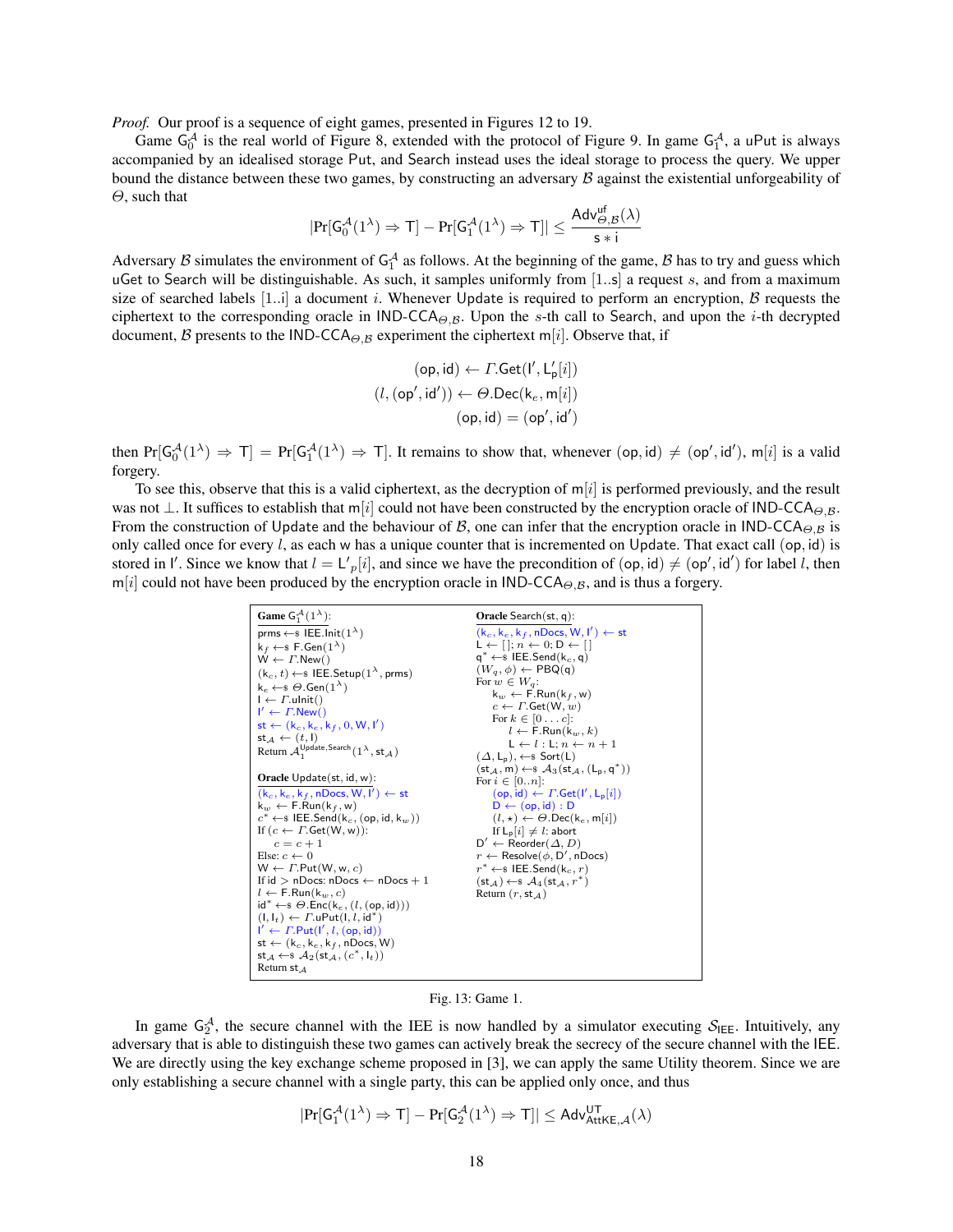*Proof.* Our proof is a sequence of eight games, presented in Figures 12 to 19.

Game  $G_0^{\mathcal{A}}$  is the real world of Figure 8, extended with the protocol of Figure 9. In game  $G_1^{\mathcal{A}}$ , a uPut is always accompanied by an idealised storage Put, and Search instead uses the ideal storage to process the query. We upper bound the distance between these two games, by constructing an adversary  $\beta$  against the existential unforgeability of  $\Theta$ , such that

$$
|Pr[\mathsf{G}^{\mathcal{A}}_0(1^\lambda) \Rightarrow \mathsf{T}] - Pr[\mathsf{G}^{\mathcal{A}}_1(1^\lambda) \Rightarrow \mathsf{T}]| \leq \frac{\mathsf{Adv}^{\mathsf{uf}}_{\varTheta,\mathcal{B}}(\lambda)}{s * i}
$$

Adversary B simulates the environment of  $G_1^A$  as follows. At the beginning of the game, B has to try and guess which uGet to Search will be distinguishable. As such, it samples uniformly from  $[1..s]$  a request s, and from a maximum size of searched labels  $[1..i]$  a document i. Whenever Update is required to perform an encryption,  $\beta$  requests the ciphertext to the corresponding oracle in  $IND-CCA_{\Theta,B}$ . Upon the s-th call to Search, and upon the *i*-th decrypted document, B presents to the IND-CCA<sub>Θ,B</sub> experiment the ciphertext m[i]. Observe that, if

$$
(\mathsf{op}, \mathsf{id}) \leftarrow \Gamma.\mathsf{Get}(I', \mathsf{L}'_p[i])
$$

$$
(l, (\mathsf{op}', \mathsf{id}')) \leftarrow \Theta.\mathsf{Dec}(\mathsf{k}_e, \mathsf{m}[i])
$$

$$
(\mathsf{op}, \mathsf{id}) = (\mathsf{op}', \mathsf{id}')
$$

then  $Pr[G_0^{\mathcal{A}}(1^{\lambda}) \Rightarrow T] = Pr[G_1^{\mathcal{A}}(1^{\lambda}) \Rightarrow T]$ . It remains to show that, whenever  $(op, id) \neq (op', id'), m[i]$  is a valid forgery.

To see this, observe that this is a valid ciphertext, as the decryption of  $m[i]$  is performed previously, and the result was not ⊥. It suffices to establish that m[i] could not have been constructed by the encryption oracle of IND-CCA $_{\Theta,B}$ . From the construction of Update and the behaviour of B, one can infer that the encryption oracle in IND-CCA $_{\Theta,B}$  is only called once for every  $l$ , as each w has a unique counter that is incremented on Update. That exact call (op, id) is stored in l'. Since we know that  $l = L'_{p}[i]$ , and since we have the precondition of  $(op, id) \neq (op', id')$  for label l, then  $m[i]$  could not have been produced by the encryption oracle in IND-CCA $\Theta$ <sub>L</sub> $B$ , and is thus a forgery.



Fig. 13: Game 1.

In game  $G_2^A$ , the secure channel with the IEE is now handled by a simulator executing  $S_{\text{IEEE}}$ . Intuitively, any adversary that is able to distinguish these two games can actively break the secrecy of the secure channel with the IEE. We are directly using the key exchange scheme proposed in [3], we can apply the same Utility theorem. Since we are only establishing a secure channel with a single party, this can be applied only once, and thus

$$
|\text{Pr}[{\sf G}_1^{\mathcal{A}}(1^\lambda)\Rightarrow {\sf T}]-\text{Pr}[{\sf G}_2^{\mathcal{A}}(1^\lambda)\Rightarrow {\sf T}]|\leq {\sf Adv}_{\sf AttKE, \mathcal{A}}^{\sf UT}(\lambda)
$$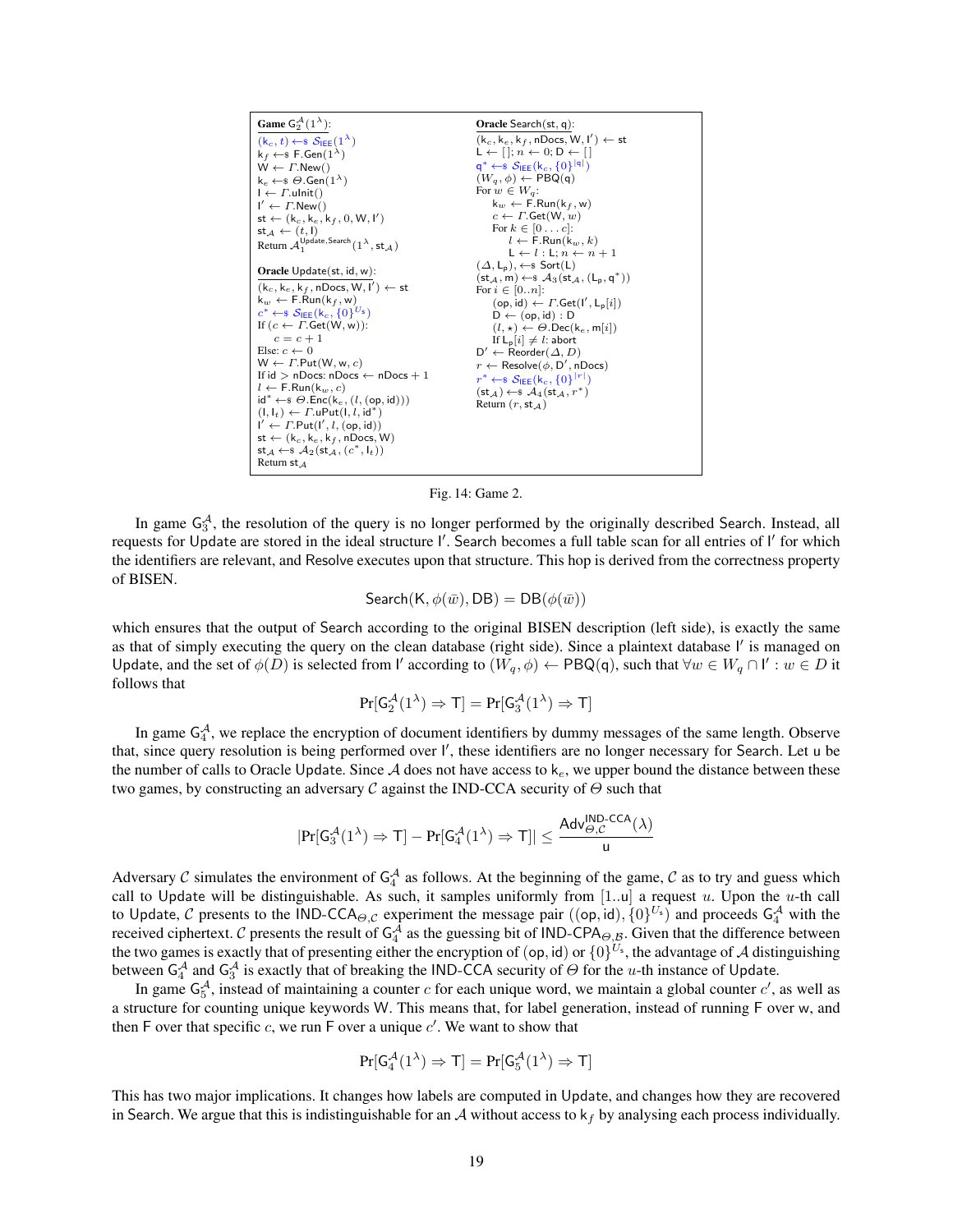| Game G <sub>2</sub> <sup>A</sup> (1 <sup>2</sup> ):   | Oracle Search(s,t,q):                                          |
|-------------------------------------------------------|----------------------------------------------------------------|
| $(k_c, t) \leftarrow s$ $S_{\text{IEE}}(1^{\lambda})$ | $(k_c, k_e, k_f, n \text{Docs}, W, I') \leftarrow st$          |
| $k_f \leftarrow s$ F.Gen(1 <sup>2</sup> )             | $(k_c, k_e, k_f, n \text{Docs}, W, I') \leftarrow st$          |
| $W \leftarrow \Gamma.\text{New}()$                    | $q^* \leftarrow s$ $S_{\text{IEE}}(k_c, \{0\}^{ \mathbf{q} })$ |
| $1 \leftarrow \Gamma.\text{New}()$                    | $(W_q, \phi) \leftarrow \text{PBQ}(q)$                         |
| $1 \leftarrow \Gamma.\text{New}()$                    | $(W_q, \phi) \leftarrow \text{New} \leftarrow \text{U}_q:$     |
| $1 \leftarrow \text{L.New}()$                         | $k_w \leftarrow \text{F.Run}(k_f, w)$                          |
| $st \leftarrow (k_c, k_e, k_f, 0, W, I')$             | $c \leftarrow \text{CGet}(W, w)$                               |
| $1 \leftarrow \text{E.Lin}(k_c, \text{U})$            | $(\Delta, L_p), \leftarrow s$ Sort(L)                          |
| $(k_c, k_e, k_f, n \text{Docs}, W, I') \leftarrow st$ | $(\Delta, L_p), \leftarrow s$ Sort(L)                          |
| $(k_c, k_e, k_f, n \text{Docs}, W, I') \leftarrow st$ | $(\Delta, L_p), \leftarrow s$ Sort(L)                          |
| $(k_c \leftarrow \text{F.Run}(k_f, w)$                | $(\Delta, L_p), \leftarrow s$ Sort(L)                          |
| $(k_c \leftarrow \text{F.Run$                         |                                                                |

Fig. 14: Game 2.

In game  $G_3^A$ , the resolution of the query is no longer performed by the originally described Search. Instead, all requests for Update are stored in the ideal structure I'. Search becomes a full table scan for all entries of I' for which the identifiers are relevant, and Resolve executes upon that structure. This hop is derived from the correctness property of BISEN.

$$
Search(K, \phi(\bar{w}), DB) = DB(\phi(\bar{w}))
$$

which ensures that the output of Search according to the original BISEN description (left side), is exactly the same as that of simply executing the query on the clean database (right side). Since a plaintext database l' is managed on Update, and the set of  $\phi(D)$  is selected from I' according to  $(W_q, \phi) \leftarrow \text{PBQ}(q)$ , such that  $\forall w \in W_q \cap I' : w \in D$  it follows that

$$
\Pr[G_2^{\mathcal{A}}(1^{\lambda}) \Rightarrow T] = \Pr[G_3^{\mathcal{A}}(1^{\lambda}) \Rightarrow T]
$$

In game  $G_4^A$ , we replace the encryption of document identifiers by dummy messages of the same length. Observe that, since query resolution is being performed over l', these identifiers are no longer necessary for Search. Let u be the number of calls to Oracle Update. Since A does not have access to  $k_e$ , we upper bound the distance between these two games, by constructing an adversary C against the IND-CCA security of  $\Theta$  such that

$$
|Pr[\mathsf{G}_3^\mathcal{A}(1^\lambda) \Rightarrow \mathsf{T}] - Pr[\mathsf{G}_4^\mathcal{A}(1^\lambda) \Rightarrow \mathsf{T}]| \leq \frac{\mathsf{Adv}_{\Theta,\mathcal{C}}^{\mathsf{IND}\text{-}\mathsf{CCA}}(\lambda)}{u}
$$

Adversary C simulates the environment of  $G_4^A$  as follows. At the beginning of the game, C as to try and guess which call to Update will be distinguishable. As such, it samples uniformly from  $[1..u]$  a request u. Upon the u-th call to Update, C presents to the IND-CCA<sub> $\Theta$ ,C</sub> experiment the message pair  $((op, id), \{0\}^{U_s})$  and proceeds  $G_4^{\mathcal{A}}$  with the received ciphertext. C presents the result of  $G_4^A$  as the guessing bit of IND-CPA<sub> $\Theta$ , $B$ </sub>. Given that the difference between the two games is exactly that of presenting either the encryption of (op, id) or  $\{0\}^{U_s}$ , the advantage of A distinguishing between  $G_4^{\mathcal{A}}$  and  $G_3^{\mathcal{A}}$  is exactly that of breaking the IND-CCA security of  $\Theta$  for the u-th instance of Update.

In game  $G_5^A$ , instead of maintaining a counter c for each unique word, we maintain a global counter c', as well as a structure for counting unique keywords W. This means that, for label generation, instead of running F over w, and then F over that specific c, we run F over a unique  $c'$ . We want to show that

$$
\Pr[G_4^{\mathcal{A}}(1^{\lambda}) \Rightarrow T] = \Pr[G_5^{\mathcal{A}}(1^{\lambda}) \Rightarrow T]
$$

This has two major implications. It changes how labels are computed in Update, and changes how they are recovered in Search. We argue that this is indistinguishable for an A without access to  $k_f$  by analysing each process individually.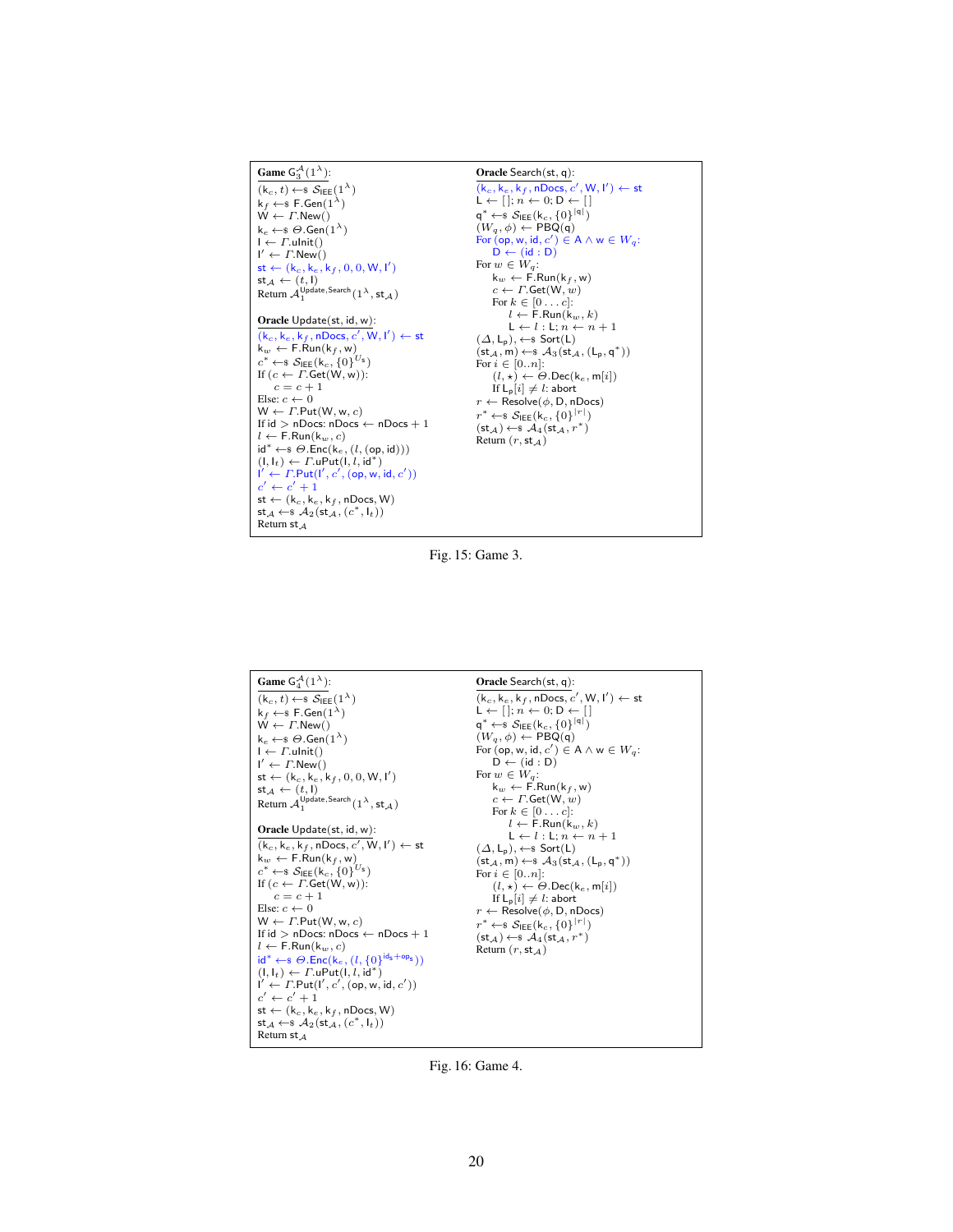| Game $G_3^{\mathcal{A}}(1^{\lambda})$ :                                                            | Oracle Search $(st, q)$ :                                                                         |
|----------------------------------------------------------------------------------------------------|---------------------------------------------------------------------------------------------------|
| $(k_c, t) \leftarrow \mathcal{S}_{\text{IFF}}(1^{\lambda})$                                        | $(k_c, k_e, k_f, n$ Docs, $c', W, I') \leftarrow st$                                              |
| $k_f \leftarrow s$ F.Gen $(1^{\lambda})$                                                           | $L \leftarrow   : n \leftarrow 0; D \leftarrow   $                                                |
| $W \leftarrow \Gamma$ . New()                                                                      | $q^* \leftarrow \$ \mathcal{S}_{\text{IFE}}(k_c, \{0\}^{ \mathfrak{q} })$                         |
| $k_e \leftarrow \$ \Theta \cdot Gen(1^{\lambda})$                                                  | $(W_a, \phi) \leftarrow \text{PBO}(q)$                                                            |
| $I \leftarrow \Gamma$ ulnit()                                                                      | For (op, w, id, $c'$ ) $\in$ A $\wedge$ w $\in$ $W_q$ :                                           |
| $I' \leftarrow \Gamma$ . New()                                                                     | $D \leftarrow (id : D)$                                                                           |
| $\mathsf{st} \leftarrow (\mathsf{k}_c, \mathsf{k}_e, \mathsf{k}_f, 0, 0, \mathsf{W}, \mathsf{I}')$ | For $w \in W_a$ :                                                                                 |
| $\mathsf{st}_{\mathcal{A}} \leftarrow (t, \mathsf{I})$                                             | $k_w \leftarrow F.Run(k_f, w)$                                                                    |
| Return $\mathcal{A}_1^{\mathsf{Update}, \mathsf{Search}}(1^{\lambda}, \mathsf{st}_{\mathcal{A}})$  | $c \leftarrow \Gamma$ . Get $(W, w)$                                                              |
|                                                                                                    | For $k \in [0 \dots c]$ :                                                                         |
| Oracle Update(st, id, w):                                                                          | $l \leftarrow F.Run(k_w, k)$                                                                      |
|                                                                                                    | $L \leftarrow l : L : n \leftarrow n + 1$                                                         |
| $(k_c, k_e, k_f, nDocs, c', W, I') \leftarrow st$                                                  | $(\Delta, L_p), \leftarrow$ Sort $(L)$                                                            |
| $k_w \leftarrow F.Run(k_f, w)$                                                                     | $(st_A, m) \leftarrow s$ $A_3(st_A, (L_p, q^*))$                                                  |
| $c^* \leftarrow \mathcal{S}_{\text{IEE}}(k_c, \{0\}^{U_{\text{S}}})$                               | For $i \in [0n]$ :                                                                                |
| If $(c \leftarrow \Gamma \text{.} \text{Get}(W, w))$ :                                             | $(l, \star) \leftarrow \Theta$ . Dec $(k_e, m[i])$                                                |
| $c=c+1$                                                                                            | If $L_p[i] \neq l$ : abort                                                                        |
| Else: $c \leftarrow 0$                                                                             | $r \leftarrow$ Resolve $(\phi, D, n$ Docs)                                                        |
| $W \leftarrow \Gamma.\mathsf{Put}(W,w,c)$                                                          | $r^* \leftarrow \mathcal{S}_{\text{IEF}}(k_c, \{0\}^{ r })$                                       |
| If $id > n$ Docs: nDocs $\leftarrow n$ Docs $+ 1$                                                  | $(\mathsf{st}_{\mathcal{A}}) \leftarrow \mathsf{s} \mathcal{A}_4(\mathsf{st}_{\mathcal{A}}, r^*)$ |
| $l \leftarrow \mathsf{F}.\mathsf{Run}(\mathsf{k}_w,c)$                                             | Return $(r, st_A)$                                                                                |
| $id^* \leftarrow \mathcal{B} \Theta$ . Enc $(k_e, (l, (op, id)))$                                  |                                                                                                   |
| $(I, I_t) \leftarrow \Gamma$ .uPut $(I, l, id^*)$                                                  |                                                                                                   |
| $I' \leftarrow \Gamma$ .Put $(I', c', (op, w, id, c'))$                                            |                                                                                                   |
| $c' \leftarrow c' + 1$                                                                             |                                                                                                   |
| st $\leftarrow$ $(k_c, k_e, k_f, n$ Docs, W)                                                       |                                                                                                   |
| $st_A \leftarrow \; A_2(st_A, (c^*, I_t))$                                                         |                                                                                                   |
| Return st <sub>A</sub>                                                                             |                                                                                                   |

Fig. 15: Game 3.

| <b>Game</b> $G_4^{\mathcal{A}}(1^{\lambda})$ :                                                                   | Oracle Search $(st, q)$ :                                                                                                                     |
|------------------------------------------------------------------------------------------------------------------|-----------------------------------------------------------------------------------------------------------------------------------------------|
| $(k_c, t) \leftarrow \mathcal{S}_{\text{IFF}}(1^{\lambda})$                                                      | $(k_c, k_e, k_f, n$ Docs, $c', W, I') \leftarrow st$                                                                                          |
| $k_f \leftarrow \$$ F.Gen $(1^{\lambda})$                                                                        | $L \leftarrow \lceil \cdot \rceil$ ; $n \leftarrow 0$ ; $D \leftarrow \lceil \cdot \rceil$                                                    |
| $W \leftarrow \Gamma$ . New()                                                                                    | $q^* \leftarrow \$ \mathcal{S}_{\text{IFE}}(k_c, \{0\}^{ q })$                                                                                |
| $k_e \leftarrow \$ \Theta \cdot Gen(1^{\lambda})$                                                                | $(W_a, \phi) \leftarrow \text{PBQ}(q)$                                                                                                        |
| $I \leftarrow \Gamma$ ulnit()                                                                                    | For (op, w, id, $c'$ ) $\in$ A $\wedge$ w $\in$ $W_a$ :                                                                                       |
| $\mathsf{I}' \leftarrow \Gamma.\mathsf{New}()$                                                                   | $D \leftarrow (id : D)$                                                                                                                       |
| $\mathsf{st} \leftarrow (\mathsf{k}_c, \mathsf{k}_e, \mathsf{k}_f, 0, 0, \mathsf{W}, \mathsf{I}')$               | For $w \in W_q$ :                                                                                                                             |
| $\mathsf{st}_A \leftarrow (t, \mathsf{I})$                                                                       | $k_w \leftarrow F.Run(k_f, w)$                                                                                                                |
| Return $\mathcal{A}_1^{\mathsf{Update}, \mathsf{Search}}(1^\lambda, \mathsf{st}_\mathcal{A})$                    | $c \leftarrow \Gamma$ . Get $(W, w)$                                                                                                          |
|                                                                                                                  | For $k \in [0 \dots c]$ :                                                                                                                     |
| Oracle $Update(st, id, w)$ :                                                                                     | $l \leftarrow F.Run(k_w, k)$                                                                                                                  |
| $(k_c, k_e, k_f, n$ Docs, $c', W, I') \leftarrow st$                                                             | $L \leftarrow l : L : n \leftarrow n + 1$                                                                                                     |
| $k_w \leftarrow F.Run(k_f, w)$                                                                                   | $(\Delta, L_{p}), \leftarrow$ Sort $(L)$                                                                                                      |
| $c^* \leftarrow \mathcal{S}_{\text{IFF}}(k_c, \{0\}^{U_{\text{S}}})$                                             | $(\mathsf{st}_A, \mathsf{m}) \leftarrow \mathsf{s} \mathcal{A}_3(\mathsf{st}_A, (\mathsf{L}_\mathsf{D}, \mathsf{q}^*))$<br>For $i \in [0n]$ : |
| If $(c \leftarrow \Gamma \text{.} \text{Get}(W, w))$ :                                                           | $(l, \star) \leftarrow \Theta$ . Dec $(k_e, m[i])$                                                                                            |
| $c=c+1$                                                                                                          | If $L_p[i] \neq l$ : abort                                                                                                                    |
| Else: $c \leftarrow 0$                                                                                           | $r \leftarrow$ Resolve $(\phi, D, n$ Docs)                                                                                                    |
| $W \leftarrow \Gamma$ Put $(W, w, c)$                                                                            | $r^* \leftarrow \mathcal{S}_{\text{IEF}}(k_c, \{0\}^{ r })$                                                                                   |
| If id $>$ nDocs: nDocs $\leftarrow$ nDocs + 1                                                                    | $(st_A) \leftarrow s$ $A_4(st_A, r^*)$                                                                                                        |
| $l \leftarrow$ F.Run(k <sub>w</sub> , c)                                                                         | Return $(r, st_A)$                                                                                                                            |
| $id^* \leftarrow \mathcal{B} \Theta$ . Enc $(k_e, (l, \{0\}^{id_s + op_s}))$                                     |                                                                                                                                               |
| $(l, l_t) \leftarrow \Gamma$ .uPut $(l, l, id^*)$                                                                |                                                                                                                                               |
| $I' \leftarrow \Gamma.\mathsf{Put}(I', c', (\mathsf{op}, \mathsf{w}, \mathsf{id}, c'))$                          |                                                                                                                                               |
| $c' \leftarrow c' + 1$                                                                                           |                                                                                                                                               |
| st $\leftarrow$ (k <sub>c</sub> , k <sub>e</sub> , k <sub>f</sub> , nDocs, W)                                    |                                                                                                                                               |
| $\mathsf{st}_{\mathcal{A}} \leftarrow \mathsf{\$} \mathcal{A}_2(\mathsf{st}_{\mathcal{A}}, (c^*, \mathsf{I}_t))$ |                                                                                                                                               |
| Return st $_A$                                                                                                   |                                                                                                                                               |

Fig. 16: Game 4.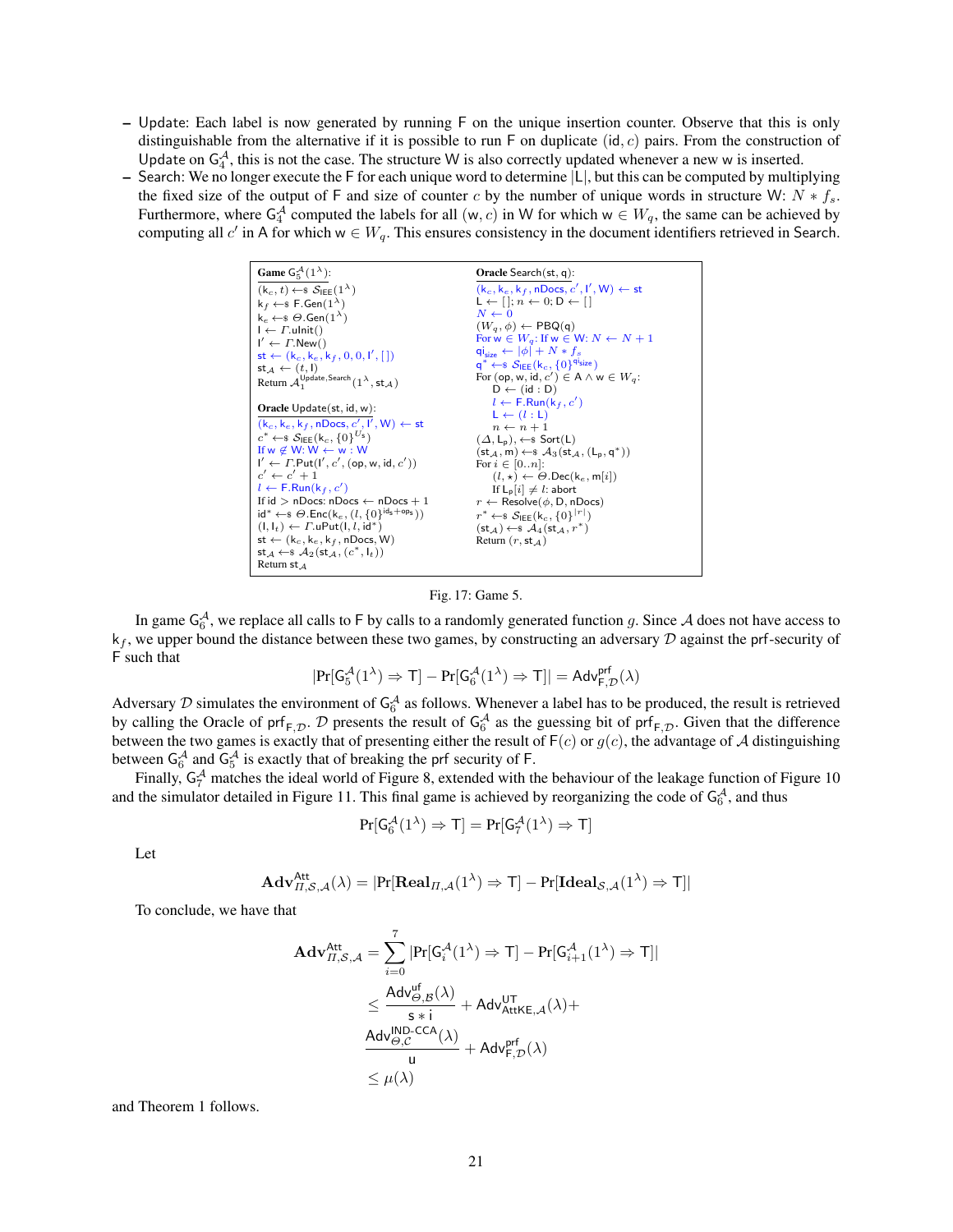- Update: Each label is now generated by running F on the unique insertion counter. Observe that this is only distinguishable from the alternative if it is possible to run  $F$  on duplicate (id, c) pairs. From the construction of Update on  $G_4^{\mathcal{A}}$ , this is not the case. The structure W is also correctly updated whenever a new w is inserted.
- $-$  Search: We no longer execute the F for each unique word to determine  $|L|$ , but this can be computed by multiplying the fixed size of the output of F and size of counter c by the number of unique words in structure W:  $N * f_s$ . Furthermore, where  $G_4^{\mathcal{A}}$  computed the labels for all  $(w, c)$  in W for which  $w \in W_q$ , the same can be achieved by computing all c' in A for which  $w \in W_q$ . This ensures consistency in the document identifiers retrieved in Search.



Fig. 17: Game 5.

In game  $G_6^A$ , we replace all calls to F by calls to a randomly generated function g. Since A does not have access to  $k_f$ , we upper bound the distance between these two games, by constructing an adversary  $D$  against the prf-security of F such that

$$
|\text{Pr}[{\sf G}_5^{\mathcal{A}}(1^\lambda)\Rightarrow {\sf T}]-\text{Pr}[{\sf G}_6^{\mathcal{A}}(1^\lambda)\Rightarrow {\sf T}]|={\sf Adv}^{\sf prf}_{{\sf F},\mathcal{D}}(\lambda)
$$

Adversary D simulates the environment of  $G_6^A$  as follows. Whenever a label has to be produced, the result is retrieved by calling the Oracle of prf<sub>F,D</sub>. D presents the result of  $G_6^A$  as the guessing bit of prf<sub>F,D</sub>. Given that the difference between the two games is exactly that of presenting either the result of  $F(c)$  or  $g(c)$ , the advantage of A distinguishing between  $G_6^{\mathcal{A}}$  and  $G_5^{\mathcal{A}}$  is exactly that of breaking the prf security of F.

Finally,  $G_7^{\mathcal{A}}$  matches the ideal world of Figure 8, extended with the behaviour of the leakage function of Figure 10 and the simulator detailed in Figure 11. This final game is achieved by reorganizing the code of  $\mathsf{G}_6^{\mathcal{A}}$ , and thus

$$
Pr[G^{\mathcal{A}}_6(1^\lambda) \Rightarrow T] = Pr[G^{\mathcal{A}}_7(1^\lambda) \Rightarrow T]
$$

Let

$$
\mathbf{Adv}_{\varPi,\mathcal{S},\mathcal{A}}^{\mathsf{Att}}(\lambda) = |\mathsf{Pr}[\mathbf{Real}_{\varPi,\mathcal{A}}(1^{\lambda}) \Rightarrow \mathsf{T}] - \mathsf{Pr}[\mathbf{Ideal}_{\mathcal{S},\mathcal{A}}(1^{\lambda}) \Rightarrow \mathsf{T}]|
$$

To conclude, we have that

$$
\begin{aligned} \mathbf{Adv}^{\mathsf{Att}}_{\Pi, \mathcal{S}, \mathcal{A}} &= \sum_{i=0}^{7} |\mathbf{Pr}[G^{\mathcal{A}}_i(1^{\lambda}) \Rightarrow \mathsf{T}] - \mathbf{Pr}[G^{\mathcal{A}}_{i+1}(1^{\lambda}) \Rightarrow \mathsf{T}]| \\ & \leq \frac{\mathsf{Adv}^{\mathsf{uf}}_{\Theta, \mathcal{B}}(\lambda)}{s * i} + \mathsf{Adv}^{\mathsf{UT}}_{\mathsf{AttKE}, \mathcal{A}}(\lambda) + \\ & \frac{\mathsf{Adv}^{\mathsf{IND}\text{-}\mathsf{CCA}}_{\Theta, \mathcal{C}}(\lambda)}{u} + \mathsf{Adv}^{\mathsf{prf}}_{F, \mathcal{D}}(\lambda) \\ & \leq \mu(\lambda) \end{aligned}
$$

and Theorem 1 follows.